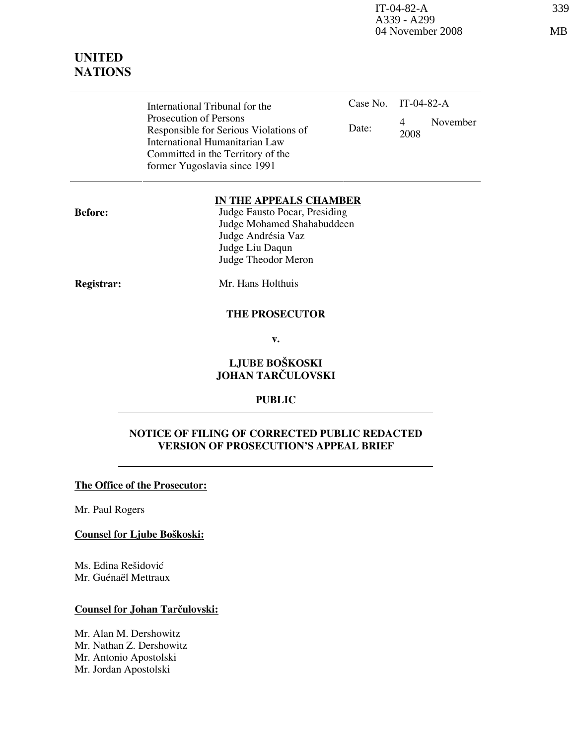IT-04-82-A 339 A339 - A299 04 November 2008 MB

| International Tribunal for the        | Case No. IT-04-82-A |      |          |
|---------------------------------------|---------------------|------|----------|
| Prosecution of Persons                |                     | 4    | November |
| Responsible for Serious Violations of | Date:               | 2008 |          |
| International Humanitarian Law        |                     |      |          |
| Committed in the Territory of the     |                     |      |          |
| former Yugoslavia since 1991          |                     |      |          |

#### IN THE APPEALS CHAMBER

Before: Judge Fausto Pocar, Presiding Judge Mohamed Shahabuddeen Judge Andrésia Vaz Judge Liu Daqun Judge Theodor Meron

Registrar: Mr. Hans Holthuis

#### THE PROSECUTOR

v.

### LJUBE BOŠKOSKI JOHAN TARČULOVSKI

#### PUBLIC

#### NOTICE OF FILING OF CORRECTED PUBLIC REDACTED VERSION OF PROSECUTION'S APPEAL BRIEF

#### The Office of the Prosecutor:

Mr. Paul Rogers

#### Counsel for Ljube Boškoski:

Ms. Edina Rešidović Mr. Guénaël Mettraux

#### Counsel for Johan Tarčulovski:

Mr. Alan M. Dershowitz Mr. Nathan Z. Dershowitz Mr. Antonio Apostolski Mr. Jordan Apostolski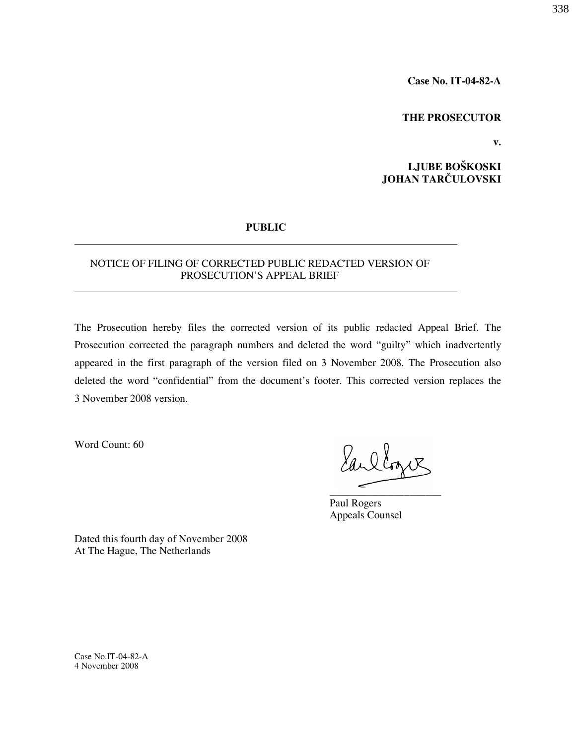Case No. IT-04-82-A

#### THE PROSECUTOR

v.

LJUBE BOŠKOSKI JOHAN TARČULOVSKI

#### PUBLIC

#### NOTICE OF FILING OF CORRECTED PUBLIC REDACTED VERSION OF PROSECUTION'S APPEAL BRIEF

The Prosecution hereby files the corrected version of its public redacted Appeal Brief. The Prosecution corrected the paragraph numbers and deleted the word "guilty" which inadvertently appeared in the first paragraph of the version filed on 3 November 2008. The Prosecution also deleted the word "confidential" from the document's footer. This corrected version replaces the 3 November 2008 version.

Word Count: 60

Earllogue \_\_\_\_\_\_\_\_\_\_\_\_\_\_\_\_\_\_\_\_\_

Paul Rogers Appeals Counsel

Dated this fourth day of November 2008 At The Hague, The Netherlands

Case No.IT-04-82-A 4 November 2008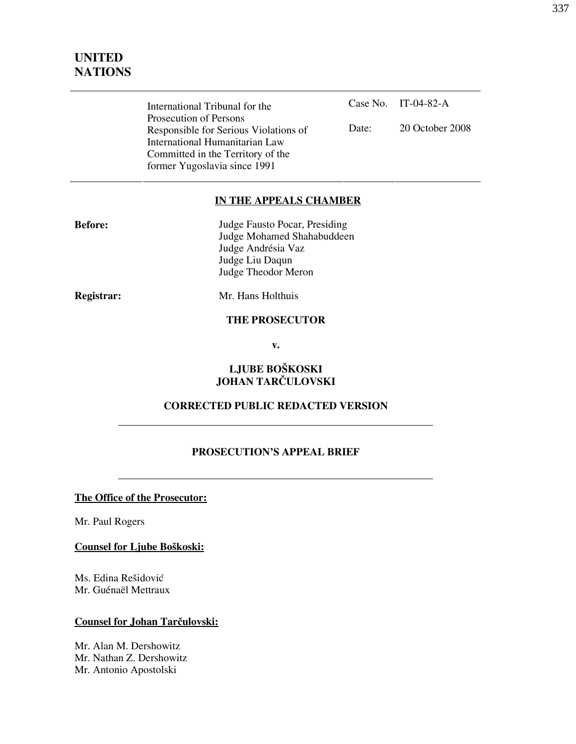| International Tribunal for the        |       | Case No. IT-04-82-A |
|---------------------------------------|-------|---------------------|
| Prosecution of Persons                |       |                     |
| Responsible for Serious Violations of | Date: | 20 October 2008     |
| International Humanitarian Law        |       |                     |
| Committed in the Territory of the     |       |                     |
| former Yugoslavia since 1991          |       |                     |

#### IN THE APPEALS CHAMBER

| <b>Before:</b> | Judge Fausto Pocar, Presiding |
|----------------|-------------------------------|
|                | Judge Mohamed Shahabuddeen    |
|                | Judge Andrésia Vaz            |
|                | Judge Liu Daqun               |
|                | Judge Theodor Meron           |

Registrar: Mr. Hans Holthuis

#### THE PROSECUTOR

v.

### LJUBE BOŠKOSKI JOHAN TARČULOVSKI

### CORRECTED PUBLIC REDACTED VERSION

#### PROSECUTION'S APPEAL BRIEF

The Office of the Prosecutor:

Mr. Paul Rogers

Counsel for Ljube Boškoski:

Ms. Edina Rešidović Mr. Guénaël Mettraux

#### Counsel for Johan Tarčulovski:

Mr. Alan M. Dershowitz Mr. Nathan Z. Dershowitz Mr. Antonio Apostolski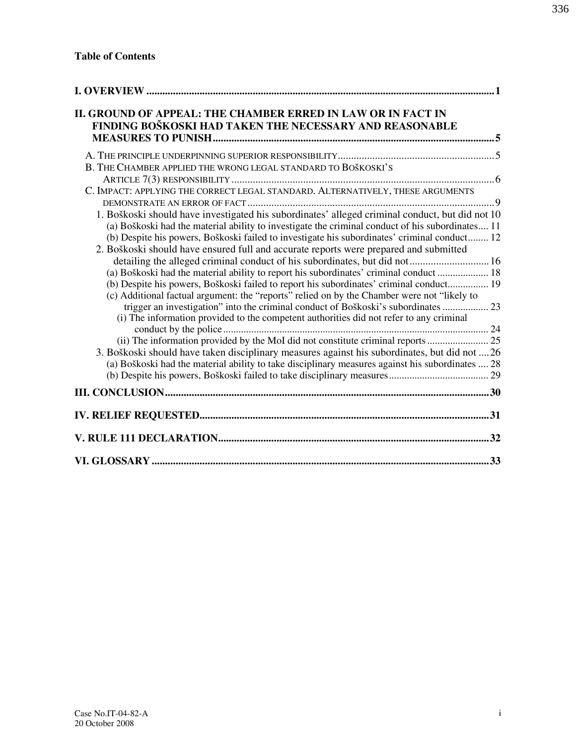| II. GROUND OF APPEAL: THE CHAMBER ERRED IN LAW OR IN FACT IN<br>FINDING BOŠKOSKI HAD TAKEN THE NECESSARY AND REASONABLE                                                                                                                                                                                                                                                                                                                                                                                                                                                                                                                                                                                                                                                                                                                                                                                                                                                                                                                                                                                                                                                                                                                 |  |
|-----------------------------------------------------------------------------------------------------------------------------------------------------------------------------------------------------------------------------------------------------------------------------------------------------------------------------------------------------------------------------------------------------------------------------------------------------------------------------------------------------------------------------------------------------------------------------------------------------------------------------------------------------------------------------------------------------------------------------------------------------------------------------------------------------------------------------------------------------------------------------------------------------------------------------------------------------------------------------------------------------------------------------------------------------------------------------------------------------------------------------------------------------------------------------------------------------------------------------------------|--|
|                                                                                                                                                                                                                                                                                                                                                                                                                                                                                                                                                                                                                                                                                                                                                                                                                                                                                                                                                                                                                                                                                                                                                                                                                                         |  |
| B. THE CHAMBER APPLIED THE WRONG LEGAL STANDARD TO BOŠKOSKI'S                                                                                                                                                                                                                                                                                                                                                                                                                                                                                                                                                                                                                                                                                                                                                                                                                                                                                                                                                                                                                                                                                                                                                                           |  |
| C. IMPACT: APPLYING THE CORRECT LEGAL STANDARD. ALTERNATIVELY, THESE ARGUMENTS                                                                                                                                                                                                                                                                                                                                                                                                                                                                                                                                                                                                                                                                                                                                                                                                                                                                                                                                                                                                                                                                                                                                                          |  |
|                                                                                                                                                                                                                                                                                                                                                                                                                                                                                                                                                                                                                                                                                                                                                                                                                                                                                                                                                                                                                                                                                                                                                                                                                                         |  |
| 1. Boškoski should have investigated his subordinates' alleged criminal conduct, but did not 10<br>(a) Boškoski had the material ability to investigate the criminal conduct of his subordinates 11<br>(b) Despite his powers, Boškoski failed to investigate his subordinates' criminal conduct 12<br>2. Boškoski should have ensured full and accurate reports were prepared and submitted<br>detailing the alleged criminal conduct of his subordinates, but did not 16<br>(a) Boškoski had the material ability to report his subordinates' criminal conduct 18<br>(b) Despite his powers, Boškoski failed to report his subordinates' criminal conduct 19<br>(c) Additional factual argument: the "reports" relied on by the Chamber were not "likely to<br>trigger an investigation" into the criminal conduct of Boškoski's subordinates  23<br>(i) The information provided to the competent authorities did not refer to any criminal<br>(ii) The information provided by the MoI did not constitute criminal reports  25<br>3. Boškoski should have taken disciplinary measures against his subordinates, but did not  26<br>(a) Boškoski had the material ability to take disciplinary measures against his subordinates  28 |  |
|                                                                                                                                                                                                                                                                                                                                                                                                                                                                                                                                                                                                                                                                                                                                                                                                                                                                                                                                                                                                                                                                                                                                                                                                                                         |  |
|                                                                                                                                                                                                                                                                                                                                                                                                                                                                                                                                                                                                                                                                                                                                                                                                                                                                                                                                                                                                                                                                                                                                                                                                                                         |  |
|                                                                                                                                                                                                                                                                                                                                                                                                                                                                                                                                                                                                                                                                                                                                                                                                                                                                                                                                                                                                                                                                                                                                                                                                                                         |  |
|                                                                                                                                                                                                                                                                                                                                                                                                                                                                                                                                                                                                                                                                                                                                                                                                                                                                                                                                                                                                                                                                                                                                                                                                                                         |  |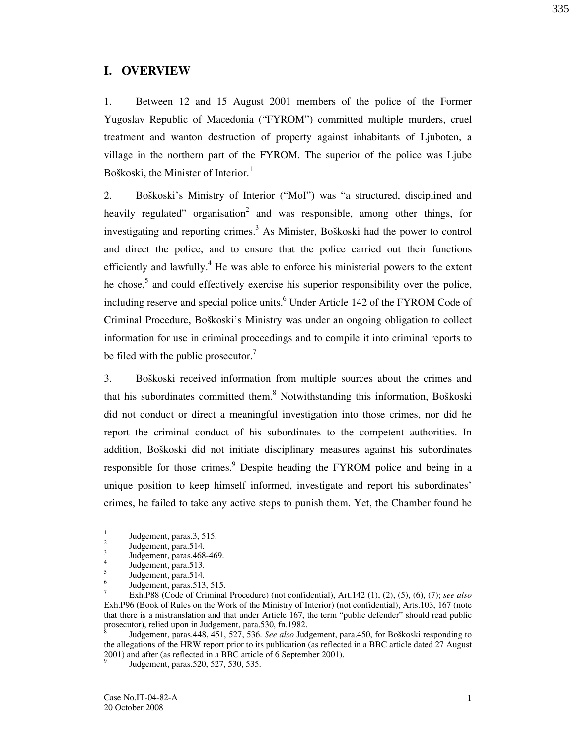### I. OVERVIEW

1. Between 12 and 15 August 2001 members of the police of the Former Yugoslav Republic of Macedonia ("FYROM") committed multiple murders, cruel treatment and wanton destruction of property against inhabitants of Ljuboten, a village in the northern part of the FYROM. The superior of the police was Ljube Boškoski, the Minister of Interior.<sup>1</sup>

2. Boškoski's Ministry of Interior ("MoI") was "a structured, disciplined and heavily regulated" organisation<sup>2</sup> and was responsible, among other things, for investigating and reporting crimes.<sup>3</sup> As Minister, Boškoski had the power to control and direct the police, and to ensure that the police carried out their functions efficiently and lawfully.<sup>4</sup> He was able to enforce his ministerial powers to the extent he chose,<sup>5</sup> and could effectively exercise his superior responsibility over the police, including reserve and special police units.<sup>6</sup> Under Article 142 of the FYROM Code of Criminal Procedure, Boškoski's Ministry was under an ongoing obligation to collect information for use in criminal proceedings and to compile it into criminal reports to be filed with the public prosecutor. $\frac{7}{1}$ 

3. Boškoski received information from multiple sources about the crimes and that his subordinates committed them.<sup>8</sup> Notwithstanding this information, Boškoski did not conduct or direct a meaningful investigation into those crimes, nor did he report the criminal conduct of his subordinates to the competent authorities. In addition, Boškoski did not initiate disciplinary measures against his subordinates responsible for those crimes.<sup>9</sup> Despite heading the FYROM police and being in a unique position to keep himself informed, investigate and report his subordinates' crimes, he failed to take any active steps to punish them. Yet, the Chamber found he

-

<sup>1</sup> Judgement, paras.3, 515.

<sup>2</sup> Judgement, para.514. 3

Judgement, paras.468-469. 4

Judgement, para.513. 5

Judgement, para.514. 6

Judgement, paras.513, 515.

<sup>7</sup> Exh.P88 (Code of Criminal Procedure) (not confidential), Art.142 (1), (2), (5), (6), (7); see also Exh.P96 (Book of Rules on the Work of the Ministry of Interior) (not confidential), Arts.103, 167 (note that there is a mistranslation and that under Article 167, the term "public defender" should read public prosecutor), relied upon in Judgement, para.530, fn.1982.<br><sup>8</sup>

Judgement, paras.448, 451, 527, 536. See also Judgement, para.450, for Boškoski responding to the allegations of the HRW report prior to its publication (as reflected in a BBC article dated 27 August  $2001$ ) and after (as reflected in a BBC article of 6 September 2001).

Judgement, paras.520, 527, 530, 535.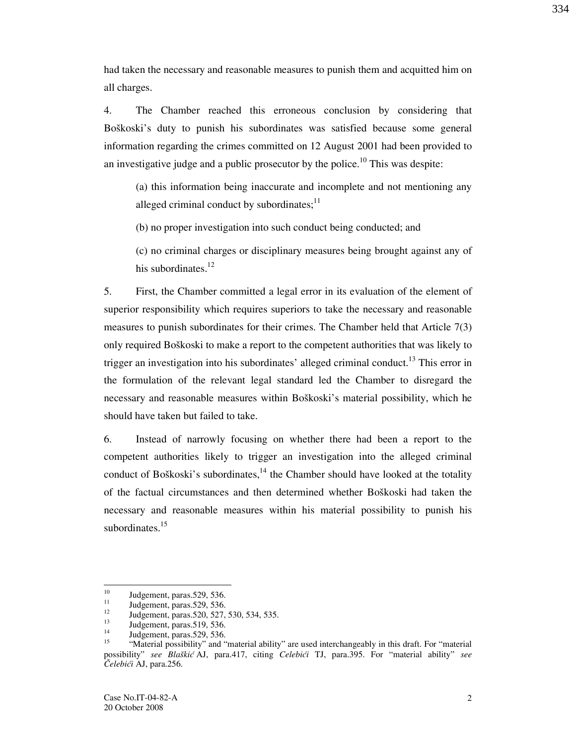had taken the necessary and reasonable measures to punish them and acquitted him on

4. The Chamber reached this erroneous conclusion by considering that Boškoski's duty to punish his subordinates was satisfied because some general information regarding the crimes committed on 12 August 2001 had been provided to an investigative judge and a public prosecutor by the police.<sup>10</sup> This was despite:

(a) this information being inaccurate and incomplete and not mentioning any alleged criminal conduct by subordinates; $^{11}$ 

(b) no proper investigation into such conduct being conducted; and

(c) no criminal charges or disciplinary measures being brought against any of his subordinates.<sup>12</sup>

5. First, the Chamber committed a legal error in its evaluation of the element of superior responsibility which requires superiors to take the necessary and reasonable measures to punish subordinates for their crimes. The Chamber held that Article 7(3) only required Boškoski to make a report to the competent authorities that was likely to trigger an investigation into his subordinates' alleged criminal conduct.<sup>13</sup> This error in the formulation of the relevant legal standard led the Chamber to disregard the necessary and reasonable measures within Boškoski's material possibility, which he should have taken but failed to take.

6. Instead of narrowly focusing on whether there had been a report to the competent authorities likely to trigger an investigation into the alleged criminal conduct of Boškoski's subordinates,  $14$  the Chamber should have looked at the totality of the factual circumstances and then determined whether Boškoski had taken the necessary and reasonable measures within his material possibility to punish his subordinates. $15$ 

all charges.

<sup>10</sup>  $\frac{10}{11}$  Judgement, paras.529, 536.

 $11$  Judgement, paras.529, 536.

 $\frac{12}{13}$  Judgement, paras.520, 527, 530, 534, 535.

 $13$  Judgement, paras.519, 536.

 $14$  Judgement, paras.529, 536.

<sup>&</sup>quot;Material possibility" and "material ability" are used interchangeably in this draft. For "material possibility" see Blaškić AJ, para.417, citing Celebići TJ, para.395. For "material ability" see Čelebići AJ, para.256.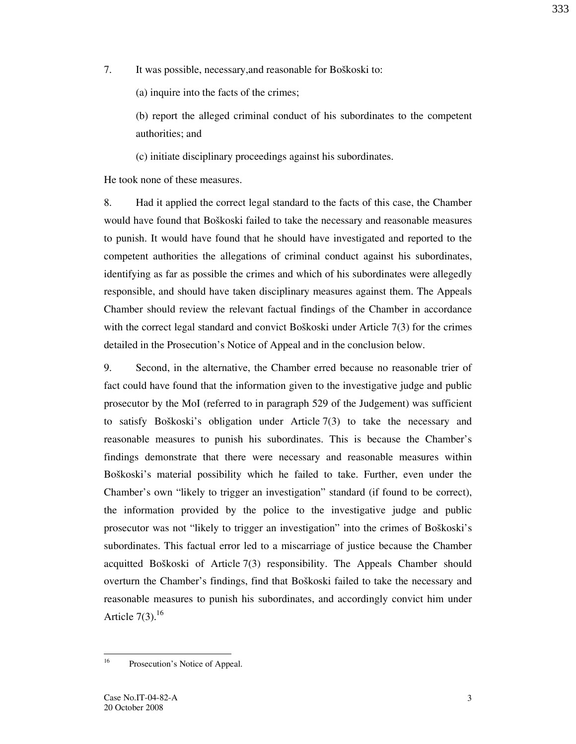7. It was possible, necessary, and reasonable for Boškoski to:

(a) inquire into the facts of the crimes;

(b) report the alleged criminal conduct of his subordinates to the competent authorities; and

(c) initiate disciplinary proceedings against his subordinates.

He took none of these measures.

8. Had it applied the correct legal standard to the facts of this case, the Chamber would have found that Boškoski failed to take the necessary and reasonable measures to punish. It would have found that he should have investigated and reported to the competent authorities the allegations of criminal conduct against his subordinates, identifying as far as possible the crimes and which of his subordinates were allegedly responsible, and should have taken disciplinary measures against them. The Appeals Chamber should review the relevant factual findings of the Chamber in accordance with the correct legal standard and convict Bo $\{K\}$  under Article 7(3) for the crimes detailed in the Prosecution's Notice of Appeal and in the conclusion below.

9. Second, in the alternative, the Chamber erred because no reasonable trier of fact could have found that the information given to the investigative judge and public prosecutor by the MoI (referred to in paragraph 529 of the Judgement) was sufficient to satisfy Boškoski's obligation under Article  $7(3)$  to take the necessary and reasonable measures to punish his subordinates. This is because the Chamber's findings demonstrate that there were necessary and reasonable measures within Boškoski's material possibility which he failed to take. Further, even under the Chamber's own "likely to trigger an investigation" standard (if found to be correct), the information provided by the police to the investigative judge and public prosecutor was not "likely to trigger an investigation" into the crimes of Boškoski's subordinates. This factual error led to a miscarriage of justice because the Chamber acquitted Bo $\check{s}$ koski of Article 7(3) responsibility. The Appeals Chamber should overturn the Chamber's findings, find that Boškoski failed to take the necessary and reasonable measures to punish his subordinates, and accordingly convict him under Article  $7(3)$ .<sup>16</sup>

 $16^{1}$ Prosecution's Notice of Appeal.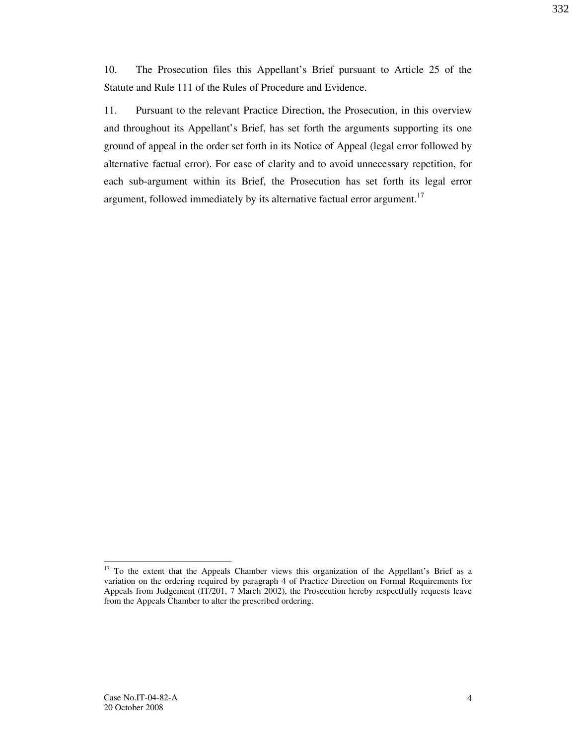10. The Prosecution files this Appellant's Brief pursuant to Article 25 of the Statute and Rule 111 of the Rules of Procedure and Evidence.

11. Pursuant to the relevant Practice Direction, the Prosecution, in this overview and throughout its Appellant's Brief, has set forth the arguments supporting its one ground of appeal in the order set forth in its Notice of Appeal (legal error followed by alternative factual error). For ease of clarity and to avoid unnecessary repetition, for each sub-argument within its Brief, the Prosecution has set forth its legal error argument, followed immediately by its alternative factual error argument.<sup>17</sup>

-

<sup>&</sup>lt;sup>17</sup> To the extent that the Appeals Chamber views this organization of the Appellant's Brief as a variation on the ordering required by paragraph 4 of Practice Direction on Formal Requirements for Appeals from Judgement (IT/201, 7 March 2002), the Prosecution hereby respectfully requests leave from the Appeals Chamber to alter the prescribed ordering.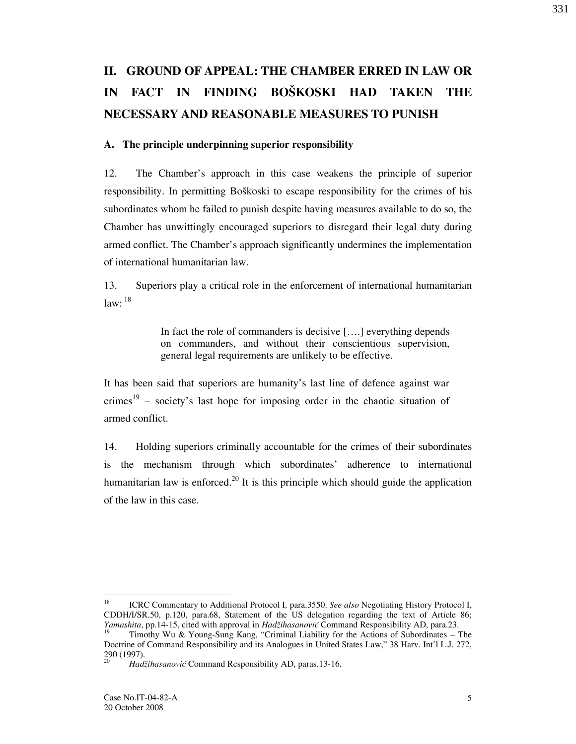# II. GROUND OF APPEAL: THE CHAMBER ERRED IN LAW OR IN FACT IN FINDING BOŠKOSKI HAD TAKEN THE NECESSARY AND REASONABLE MEASURES TO PUNISH

#### A. The principle underpinning superior responsibility

12. The Chamber's approach in this case weakens the principle of superior responsibility. In permitting Boškoski to escape responsibility for the crimes of his subordinates whom he failed to punish despite having measures available to do so, the Chamber has unwittingly encouraged superiors to disregard their legal duty during armed conflict. The Chamber's approach significantly undermines the implementation of international humanitarian law.

13. Superiors play a critical role in the enforcement of international humanitarian  $law:$ <sup>18</sup>

> In fact the role of commanders is decisive  $[\,...]$  everything depends on commanders, and without their conscientious supervision, general legal requirements are unlikely to be effective.

It has been said that superiors are humanity's last line of defence against war crimes<sup>19</sup> – society's last hope for imposing order in the chaotic situation of armed conflict.

14. Holding superiors criminally accountable for the crimes of their subordinates is the mechanism through which subordinates' adherence to international humanitarian law is enforced.<sup>20</sup> It is this principle which should guide the application of the law in this case.

<sup>18</sup> ICRC Commentary to Additional Protocol I, para.3550. See also Negotiating History Protocol I, CDDH/I/SR.50, p.120, para.68, Statement of the US delegation regarding the text of Article 86; *Yamashita*, pp.14-15, cited with approval in *Hadžihasanović* Command Responsibility AD, para.23.

Timothy Wu & Young-Sung Kang, "Criminal Liability for the Actions of Subordinates – The Doctrine of Command Responsibility and its Analogues in United States Law," 38 Harv. Int'l L.J. 272,  $\frac{290}{20}$  (1997).

Hadžihasanović Command Responsibility AD, paras.13-16.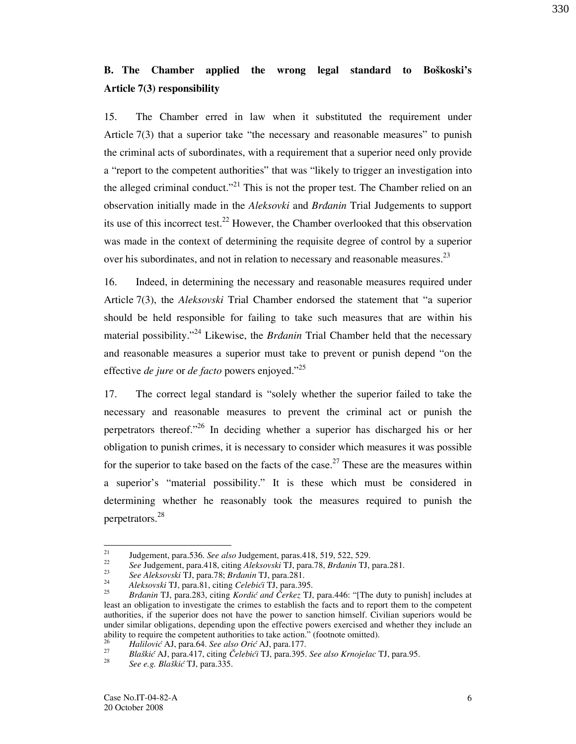# B. The Chamber applied the wrong legal standard to Boškoski's Article 7(3) responsibility

15. The Chamber erred in law when it substituted the requirement under Article 7(3) that a superior take "the necessary and reasonable measures" to punish the criminal acts of subordinates, with a requirement that a superior need only provide a "report to the competent authorities" that was "likely to trigger an investigation into the alleged criminal conduct."<sup>21</sup> This is not the proper test. The Chamber relied on an observation initially made in the *Aleksovki* and *Brdanin* Trial Judgements to support its use of this incorrect test.<sup>22</sup> However, the Chamber overlooked that this observation was made in the context of determining the requisite degree of control by a superior over his subordinates, and not in relation to necessary and reasonable measures.<sup>23</sup>

16. Indeed, in determining the necessary and reasonable measures required under Article 7(3), the Aleksovski Trial Chamber endorsed the statement that "a superior should be held responsible for failing to take such measures that are within his material possibility."<sup>24</sup> Likewise, the *Brdanin* Trial Chamber held that the necessary and reasonable measures a superior must take to prevent or punish depend "on the effective *de jure* or *de facto* powers enjoyed."<sup>25</sup>

17. The correct legal standard is "solely whether the superior failed to take the necessary and reasonable measures to prevent the criminal act or punish the perpetrators thereof."<sup>26</sup> In deciding whether a superior has discharged his or her obligation to punish crimes, it is necessary to consider which measures it was possible for the superior to take based on the facts of the case.<sup>27</sup> These are the measures within a superior's "material possibility." It is these which must be considered in determining whether he reasonably took the measures required to punish the perpetrators.<sup>28</sup>

330

 $21$ Judgement, para.536. See also Judgement, paras.418, 519, 522, 529.

<sup>22</sup> See Judgement, para.418, citing Aleksovski TJ, para.78, Brdanin TJ, para.281. 23

See Aleksovski TJ, para.78; Brdanin TJ, para.281. 24

Aleksovski TJ, para.81, citing Celebići TJ, para.395. 25

Brdanin TJ, para.283, citing Kordić and Čerkez TJ, para.446: "[The duty to punish] includes at least an obligation to investigate the crimes to establish the facts and to report them to the competent authorities, if the superior does not have the power to sanction himself. Civilian superiors would be under similar obligations, depending upon the effective powers exercised and whether they include an ability to require the competent authorities to take action." (footnote omitted).

<sup>26</sup> Halilović AJ, para.64. See also Orić AJ, para.177. 27

Blaškić AJ, para.417, citing Čelebići TJ, para.395. See also Krnojelac TJ, para.95. 28

See e.g. Blaškić TJ, para.335.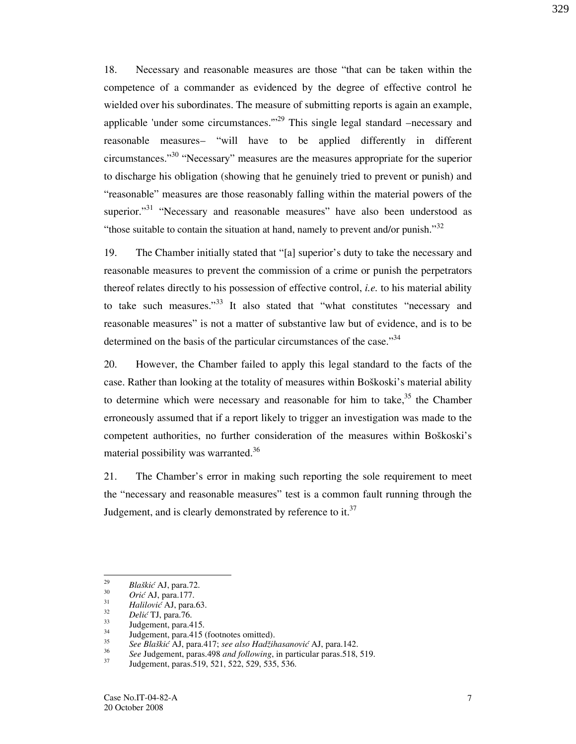18. Necessary and reasonable measures are those "that can be taken within the competence of a commander as evidenced by the degree of effective control he wielded over his subordinates. The measure of submitting reports is again an example, applicable 'under some circumstances."<sup> $29$ </sup> This single legal standard –necessary and reasonable measures– "will have to be applied differently in different circumstances."<sup>30</sup> "Necessary" measures are the measures appropriate for the superior to discharge his obligation (showing that he genuinely tried to prevent or punish) and "reasonable" measures are those reasonably falling within the material powers of the superior."<sup>31</sup> "Necessary and reasonable measures" have also been understood as "those suitable to contain the situation at hand, namely to prevent and/or punish." $32$ 

19. The Chamber initially stated that "[a] superior's duty to take the necessary and reasonable measures to prevent the commission of a crime or punish the perpetrators thereof relates directly to his possession of effective control, i.e. to his material ability to take such measures."<sup>33</sup> It also stated that "what constitutes "necessary and reasonable measures" is not a matter of substantive law but of evidence, and is to be determined on the basis of the particular circumstances of the case." $34$ 

20. However, the Chamber failed to apply this legal standard to the facts of the case. Rather than looking at the totality of measures within Boškoski's material ability to determine which were necessary and reasonable for him to take,  $35$  the Chamber erroneously assumed that if a report likely to trigger an investigation was made to the competent authorities, no further consideration of the measures within Boškoski's material possibility was warranted.<sup>36</sup>

21. The Chamber's error in making such reporting the sole requirement to meet the "necessary and reasonable measures" test is a common fault running through the Judgement, and is clearly demonstrated by reference to it.<sup>37</sup>

 $S<sup>36</sup>$  See Judgement, paras.498 *and following*, in particular paras.518, 519.

 $\frac{1}{29}$ Blaškić AJ, para.72. 30

 $Ori\acute{c}$  AJ, para.177. 31

Halilović AJ, para.63. 32

 $\frac{32}{33}$  Delić TJ, para.76.

 $33 \text{ Judgement, para.}415.$ 

Judgement, para.415 (footnotes omitted). 35

See Blaškić AJ, para.417; see also Hadžihasanović AJ, para.142. 36

Judgement, paras.519, 521, 522, 529, 535, 536.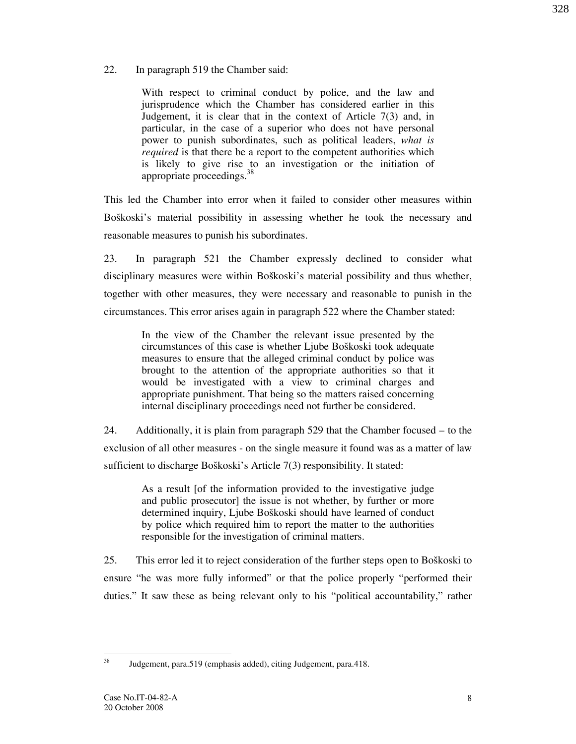With respect to criminal conduct by police, and the law and jurisprudence which the Chamber has considered earlier in this Judgement, it is clear that in the context of Article 7(3) and, in particular, in the case of a superior who does not have personal power to punish subordinates, such as political leaders, what is required is that there be a report to the competent authorities which is likely to give rise to an investigation or the initiation of appropriate proceedings.<sup>38</sup>

This led the Chamber into error when it failed to consider other measures within Boškoski's material possibility in assessing whether he took the necessary and reasonable measures to punish his subordinates.

23. In paragraph 521 the Chamber expressly declined to consider what disciplinary measures were within Boškoski's material possibility and thus whether, together with other measures, they were necessary and reasonable to punish in the circumstances. This error arises again in paragraph 522 where the Chamber stated:

> In the view of the Chamber the relevant issue presented by the circumstances of this case is whether Ljube Boškoski took adequate measures to ensure that the alleged criminal conduct by police was brought to the attention of the appropriate authorities so that it would be investigated with a view to criminal charges and appropriate punishment. That being so the matters raised concerning internal disciplinary proceedings need not further be considered.

24. Additionally, it is plain from paragraph 529 that the Chamber focused – to the exclusion of all other measures - on the single measure it found was as a matter of law sufficient to discharge Boškoski's Article 7(3) responsibility. It stated:

> As a result [of the information provided to the investigative judge and public prosecutor] the issue is not whether, by further or more determined inquiry, Ljube Boškoski should have learned of conduct by police which required him to report the matter to the authorities responsible for the investigation of criminal matters.

25. This error led it to reject consideration of the further steps open to Boškoski to ensure "he was more fully informed" or that the police properly "performed their duties." It saw these as being relevant only to his "political accountability," rather

 $38$ <sup>38</sup> Judgement, para.519 (emphasis added), citing Judgement, para.418.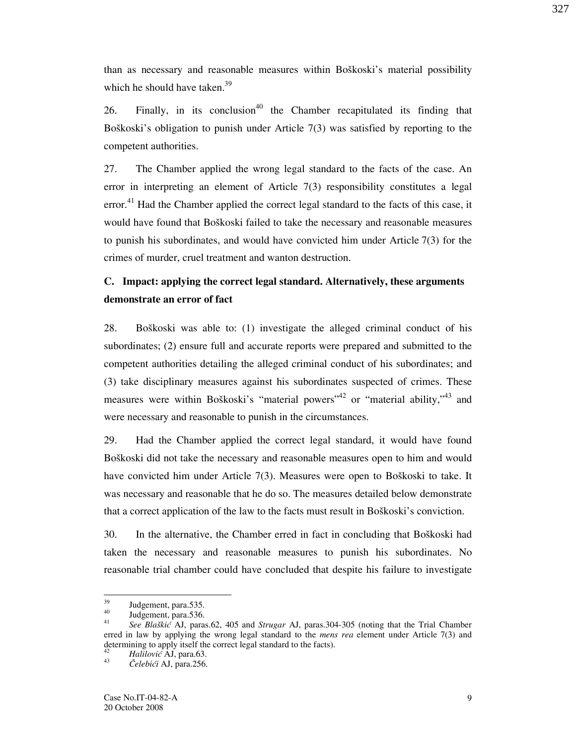327

than as necessary and reasonable measures within Boškoski's material possibility which he should have taken. $39$ 

26. Finally, in its conclusion<sup>40</sup> the Chamber recapitulated its finding that Bo $\delta$ koski's obligation to punish under Article 7(3) was satisfied by reporting to the competent authorities.

27. The Chamber applied the wrong legal standard to the facts of the case. An error in interpreting an element of Article 7(3) responsibility constitutes a legal error.<sup>41</sup> Had the Chamber applied the correct legal standard to the facts of this case, it would have found that Boškoski failed to take the necessary and reasonable measures to punish his subordinates, and would have convicted him under Article 7(3) for the crimes of murder, cruel treatment and wanton destruction.

# C. Impact: applying the correct legal standard. Alternatively, these arguments demonstrate an error of fact

28. Boškoski was able to: (1) investigate the alleged criminal conduct of his subordinates; (2) ensure full and accurate reports were prepared and submitted to the competent authorities detailing the alleged criminal conduct of his subordinates; and (3) take disciplinary measures against his subordinates suspected of crimes. These measures were within Boškoski's "material powers"<sup>42</sup> or "material ability,"<sup>43</sup> and were necessary and reasonable to punish in the circumstances.

29. Had the Chamber applied the correct legal standard, it would have found Bo $\delta$ koski did not take the necessary and reasonable measures open to him and would have convicted him under Article  $7(3)$ . Measures were open to Boškoski to take. It was necessary and reasonable that he do so. The measures detailed below demonstrate that a correct application of the law to the facts must result in Boškoski's conviction.

30. In the alternative, the Chamber erred in fact in concluding that Boškoski had taken the necessary and reasonable measures to punish his subordinates. No reasonable trial chamber could have concluded that despite his failure to investigate

 $39$  $39$  Judgement, para.535.

Judgement, para.536.

<sup>41</sup> See Blaškić AJ, paras.62, 405 and Strugar AJ, paras.304-305 (noting that the Trial Chamber erred in law by applying the wrong legal standard to the *mens rea* element under Article 7(3) and determining to apply itself the correct legal standard to the facts).<br> $H_2$   $H_3$   $H_4$   $H_5$   $H_6$   $H_7$   $H_8$   $H_8$   $H_8$   $H_9$   $H_8$   $H_9$ 

Halilović AJ, para.63.

<sup>43</sup> Čelebići AJ, para.256.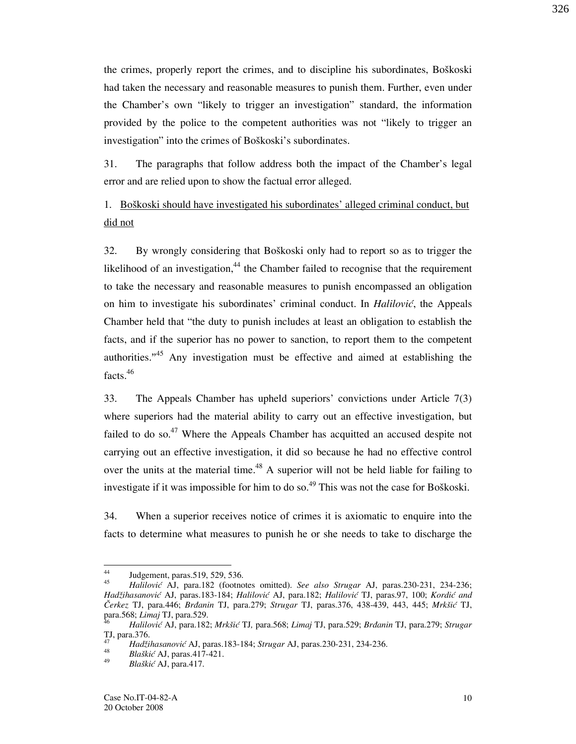the crimes, properly report the crimes, and to discipline his subordinates, Boškoski had taken the necessary and reasonable measures to punish them. Further, even under the Chamber's own "likely to trigger an investigation" standard, the information provided by the police to the competent authorities was not "likely to trigger an investigation" into the crimes of Boškoski's subordinates.

31. The paragraphs that follow address both the impact of the Chamber's legal error and are relied upon to show the factual error alleged.

## 1. Bo{koski should have investigated his subordinates' alleged criminal conduct, but did not

32. By wrongly considering that Boškoski only had to report so as to trigger the likelihood of an investigation, $44$  the Chamber failed to recognise that the requirement to take the necessary and reasonable measures to punish encompassed an obligation on him to investigate his subordinates' criminal conduct. In  $Hallovic$ , the Appeals Chamber held that "the duty to punish includes at least an obligation to establish the facts, and if the superior has no power to sanction, to report them to the competent authorities."<sup>45</sup> Any investigation must be effective and aimed at establishing the facts.<sup>46</sup>

33. The Appeals Chamber has upheld superiors' convictions under Article 7(3) where superiors had the material ability to carry out an effective investigation, but failed to do so.<sup>47</sup> Where the Appeals Chamber has acquitted an accused despite not carrying out an effective investigation, it did so because he had no effective control over the units at the material time.<sup>48</sup> A superior will not be held liable for failing to investigate if it was impossible for him to do so.<sup>49</sup> This was not the case for Bo $\delta$ koski.

34. When a superior receives notice of crimes it is axiomatic to enquire into the facts to determine what measures to punish he or she needs to take to discharge the

 $\overline{44}$ Judgement, paras.519, 529, 536. 45

Halilović AJ, para.182 (footnotes omitted). See also Strugar AJ, paras.230-231, 234-236; Hadžihasanović AJ, paras.183-184; Halilović AJ, para.182; Halilović TJ, paras.97, 100; Kordić and Čerkez TJ, para.446; Brđanin TJ, para.279; Strugar TJ, paras.376, 438-439, 443, 445; Mrkšić TJ, para.568; *Limaj* TJ, para.529.<br><sup>46</sup> Halilović AJ, para.182.

Halilović AJ, para.182; Mrkšić TJ, para.568; Limaj TJ, para.529; Brđanin TJ, para.279; Strugar TJ, para.376.

<sup>47</sup> Hadžihasanović AJ, paras.183-184; Strugar AJ, paras.230-231, 234-236. 48

Blaškić AJ, paras.417-421.

<sup>49</sup>  $Bla\&i\in AJ$ , para.417.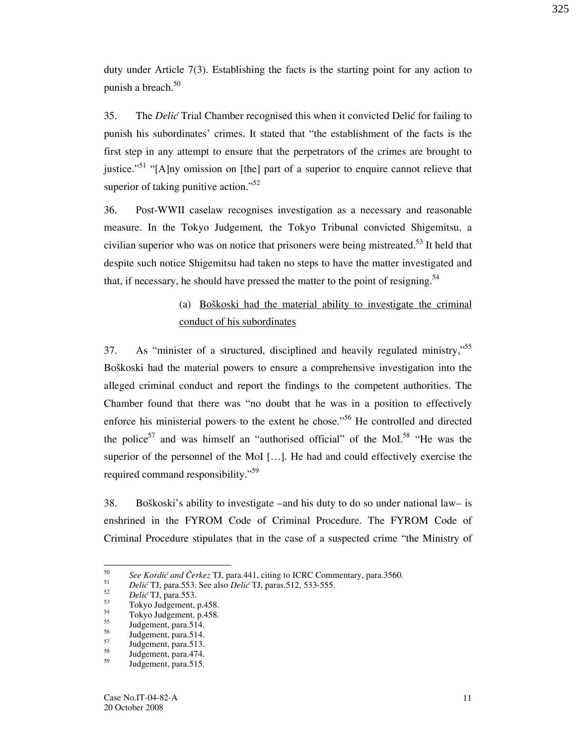duty under Article 7(3). Establishing the facts is the starting point for any action to punish a breach.<sup>50</sup>

35. The *Delić* Trial Chamber recognised this when it convicted Delić for failing to punish his subordinates' crimes. It stated that "the establishment of the facts is the first step in any attempt to ensure that the perpetrators of the crimes are brought to justice."<sup>51</sup> "[A]ny omission on [the] part of a superior to enquire cannot relieve that superior of taking punitive action."<sup>52</sup>

36. Post-WWII caselaw recognises investigation as a necessary and reasonable measure. In the Tokyo Judgement, the Tokyo Tribunal convicted Shigemitsu, a civilian superior who was on notice that prisoners were being mistreated.<sup>53</sup> It held that despite such notice Shigemitsu had taken no steps to have the matter investigated and that, if necessary, he should have pressed the matter to the point of resigning.<sup>54</sup>

# (a) Boškoski had the material ability to investigate the criminal conduct of his subordinates

37. As "minister of a structured, disciplined and heavily regulated ministry,"<sup>55</sup> Boškoski had the material powers to ensure a comprehensive investigation into the alleged criminal conduct and report the findings to the competent authorities. The Chamber found that there was "no doubt that he was in a position to effectively enforce his ministerial powers to the extent he chose."<sup>56</sup> He controlled and directed the police<sup>57</sup> and was himself an "authorised official" of the MoI.<sup>58</sup> "He was the superior of the personnel of the MoI [...]. He had and could effectively exercise the required command responsibility."<sup>59</sup>

38. Boškoski's ability to investigate –and his duty to do so under national law– is enshrined in the FYROM Code of Criminal Procedure. The FYROM Code of Criminal Procedure stipulates that in the case of a suspected crime "the Ministry of

 $\frac{1}{50}$ See Kordić and Čerkez TJ, para.441, citing to ICRC Commentary, para.3560.

<sup>51</sup> Delić TJ, para.553. See also Delić TJ, paras.512, 533-555. 52

 $\frac{52}{53}$  Delić TJ, para.553.

 $^{53}$  Tokyo Judgement, p.458.<br> $^{54}$  Telyze Judgement, p.459.

 $^{54}$  Tokyo Judgement, p.458.

 $\frac{55}{56}$  Judgement, para.514.

 $\frac{56}{57}$  Judgement, para.514.

 $57$  Judgement, para.513.

 $\frac{58}{59}$  Judgement, para.474.

Judgement, para.515.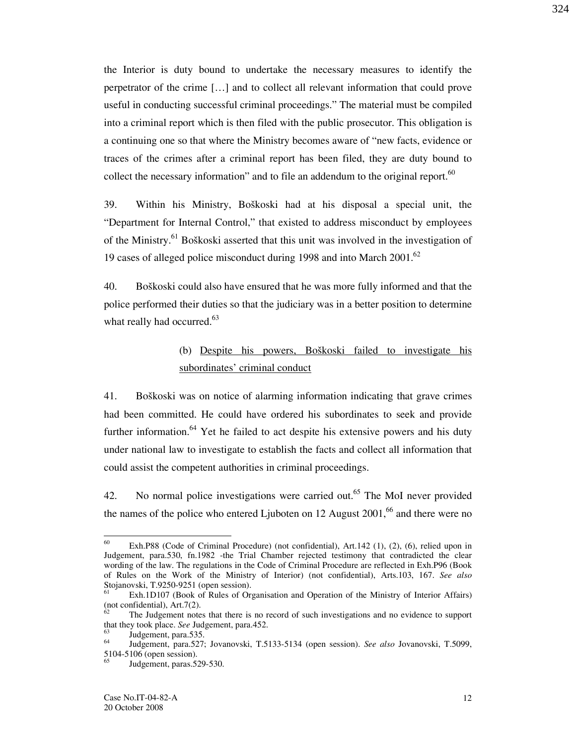the Interior is duty bound to undertake the necessary measures to identify the perpetrator of the crime  $[\dots]$  and to collect all relevant information that could prove useful in conducting successful criminal proceedings." The material must be compiled into a criminal report which is then filed with the public prosecutor. This obligation is a continuing one so that where the Ministry becomes aware of "new facts, evidence or traces of the crimes after a criminal report has been filed, they are duty bound to collect the necessary information" and to file an addendum to the original report.<sup>60</sup>

39. Within his Ministry, Boškoski had at his disposal a special unit, the "Department for Internal Control," that existed to address misconduct by employees of the Ministry.<sup>61</sup> Boškoski asserted that this unit was involved in the investigation of 19 cases of alleged police misconduct during 1998 and into March  $2001<sup>62</sup>$ 

40. Boškoski could also have ensured that he was more fully informed and that the police performed their duties so that the judiciary was in a better position to determine what really had occurred.<sup>63</sup>

# (b) Despite his powers, Boškoski failed to investigate his subordinates' criminal conduct

41. Bo{koski was on notice of alarming information indicating that grave crimes had been committed. He could have ordered his subordinates to seek and provide further information.<sup>64</sup> Yet he failed to act despite his extensive powers and his duty under national law to investigate to establish the facts and collect all information that could assist the competent authorities in criminal proceedings.

42. No normal police investigations were carried out.<sup>65</sup> The MoI never provided the names of the police who entered Ljuboten on 12 August  $2001<sup>66</sup>$  and there were no

<sup>60</sup> Exh.P88 (Code of Criminal Procedure) (not confidential), Art.142 (1), (2), (6), relied upon in Judgement, para.530, fn.1982 -the Trial Chamber rejected testimony that contradicted the clear wording of the law. The regulations in the Code of Criminal Procedure are reflected in Exh.P96 (Book of Rules on the Work of the Ministry of Interior) (not confidential), Arts.103, 167. See also Stojanovski, T.9250-9251 (open session).

<sup>61</sup> Exh.1D107 (Book of Rules of Organisation and Operation of the Ministry of Interior Affairs)  $($ not confidential), Art.7(2).

The Judgement notes that there is no record of such investigations and no evidence to support that they took place. See Judgement, para.452.

 $\frac{63}{64}$  Judgement, para.535.

Judgement, para.527; Jovanovski, T.5133-5134 (open session). See also Jovanovski, T.5099, 5104-5106 (open session).

Judgement, paras.529-530.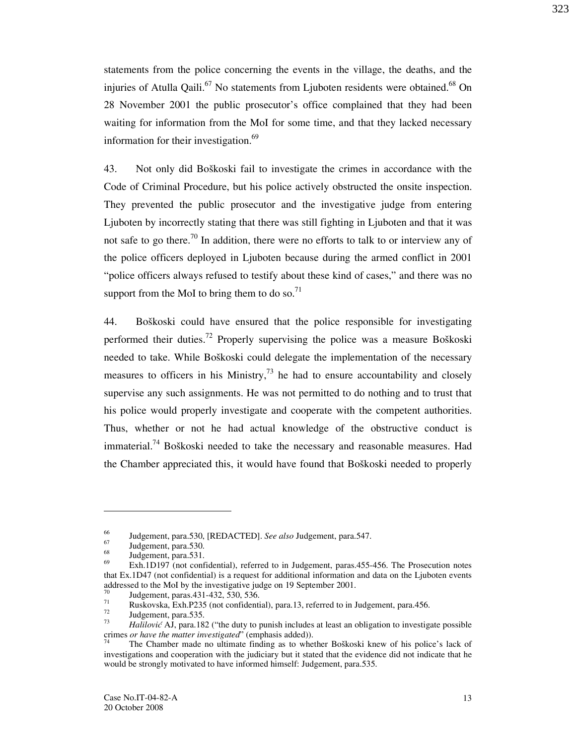statements from the police concerning the events in the village, the deaths, and the injuries of Atulla Qaili.<sup>67</sup> No statements from Ljuboten residents were obtained.<sup>68</sup> On 28 November 2001 the public prosecutor's office complained that they had been waiting for information from the MoI for some time, and that they lacked necessary information for their investigation.<sup>69</sup>

43. Not only did Boškoski fail to investigate the crimes in accordance with the Code of Criminal Procedure, but his police actively obstructed the onsite inspection. They prevented the public prosecutor and the investigative judge from entering Ljuboten by incorrectly stating that there was still fighting in Ljuboten and that it was not safe to go there.<sup>70</sup> In addition, there were no efforts to talk to or interview any of the police officers deployed in Ljuboten because during the armed conflict in 2001 "police officers always refused to testify about these kind of cases," and there was no support from the MoI to bring them to do so.<sup>71</sup>

44. Bo{koski could have ensured that the police responsible for investigating performed their duties.<sup>72</sup> Properly supervising the police was a measure Bo $\delta$ koski needed to take. While Boškoski could delegate the implementation of the necessary measures to officers in his Ministry,  $^{73}$  he had to ensure accountability and closely supervise any such assignments. He was not permitted to do nothing and to trust that his police would properly investigate and cooperate with the competent authorities. Thus, whether or not he had actual knowledge of the obstructive conduct is immaterial.<sup>74</sup> Boškoski needed to take the necessary and reasonable measures. Had the Chamber appreciated this, it would have found that Boškoski needed to properly

-

323

 $^{66}$  Judgement, para.530, [REDACTED]. See also Judgement, para.547.

 $\frac{67}{68}$  Judgement, para.530.

 $^{68}$  Judgement, para.531.

Exh.1D197 (not confidential), referred to in Judgement, paras.455-456. The Prosecution notes that Ex.1D47 (not confidential) is a request for additional information and data on the Ljuboten events addressed to the MoI by the investigative judge on 19 September 2001.

 $^{70}$  Judgement, paras.431-432, 530, 536.<br> $^{71}$  Purkeyske, Exp P235 (pat confidential

<sup>&</sup>lt;sup>71</sup> Ruskovska, Exh.P235 (not confidential), para.13, referred to in Judgement, para.456.

Judgement, para.535. 73

Halilović AJ, para.182 ("the duty to punish includes at least an obligation to investigate possible crimes or have the matter investigated" (emphasis added)).

The Chamber made no ultimate finding as to whether Boškoski knew of his police's lack of investigations and cooperation with the judiciary but it stated that the evidence did not indicate that he would be strongly motivated to have informed himself: Judgement, para.535.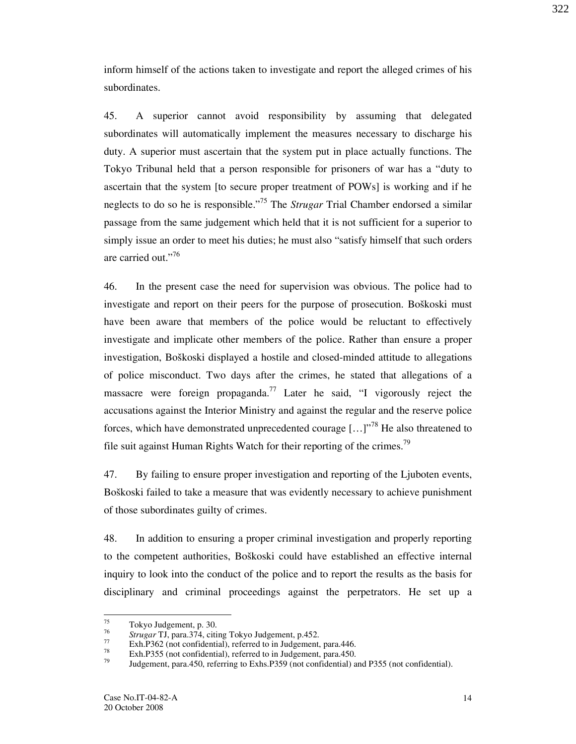inform himself of the actions taken to investigate and report the alleged crimes of his subordinates.

45. A superior cannot avoid responsibility by assuming that delegated subordinates will automatically implement the measures necessary to discharge his duty. A superior must ascertain that the system put in place actually functions. The Tokyo Tribunal held that a person responsible for prisoners of war has a "duty to ascertain that the system [to secure proper treatment of POWs] is working and if he neglects to do so he is responsible."<sup>75</sup> The *Strugar* Trial Chamber endorsed a similar passage from the same judgement which held that it is not sufficient for a superior to simply issue an order to meet his duties; he must also "satisfy himself that such orders are carried out."<sup>76</sup>

46. In the present case the need for supervision was obvious. The police had to investigate and report on their peers for the purpose of prosecution. Boškoski must have been aware that members of the police would be reluctant to effectively investigate and implicate other members of the police. Rather than ensure a proper investigation, Boškoski displayed a hostile and closed-minded attitude to allegations of police misconduct. Two days after the crimes, he stated that allegations of a massacre were foreign propaganda.<sup>77</sup> Later he said, "I vigorously reject the accusations against the Interior Ministry and against the regular and the reserve police forces, which have demonstrated unprecedented courage  $\left[ \ldots \right]$ <sup>78</sup> He also threatened to file suit against Human Rights Watch for their reporting of the crimes.<sup>79</sup>

47. By failing to ensure proper investigation and reporting of the Ljuboten events, Boškoski failed to take a measure that was evidently necessary to achieve punishment of those subordinates guilty of crimes.

48. In addition to ensuring a proper criminal investigation and properly reporting to the competent authorities, Boškoski could have established an effective internal inquiry to look into the conduct of the police and to report the results as the basis for disciplinary and criminal proceedings against the perpetrators. He set up a 322

<sup>75</sup> Tokyo Judgement, p. 30. 76

 $\frac{76}{77}$  Strugar TJ, para.374, citing Tokyo Judgement, p.452.

 $\frac{77}{28}$  Exh.P362 (not confidential), referred to in Judgement, para.446.

 $T^8$  Exh.P355 (not confidential), referred to in Judgement, para.450.

Judgement, para.450, referring to Exhs.P359 (not confidential) and P355 (not confidential).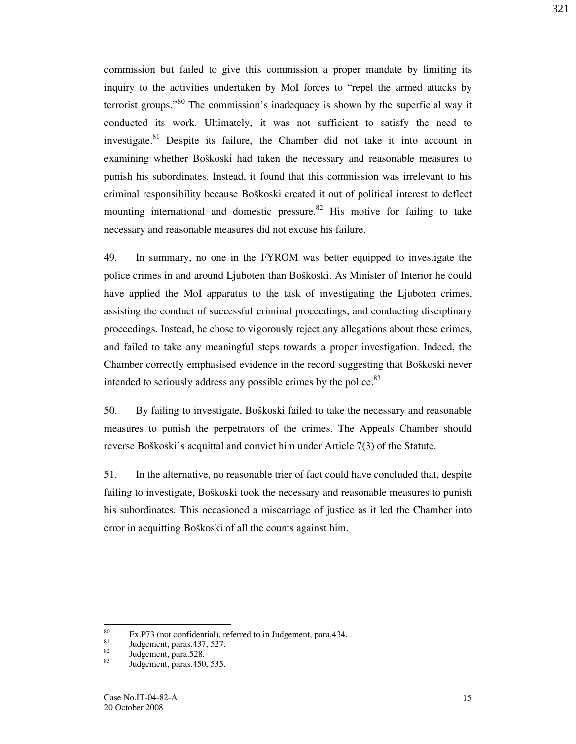commission but failed to give this commission a proper mandate by limiting its inquiry to the activities undertaken by MoI forces to "repel the armed attacks by terrorist groups."<sup>80</sup> The commission's inadequacy is shown by the superficial way it conducted its work. Ultimately, it was not sufficient to satisfy the need to investigate. $81$  Despite its failure, the Chamber did not take it into account in examining whether Boškoski had taken the necessary and reasonable measures to punish his subordinates. Instead, it found that this commission was irrelevant to his criminal responsibility because Boškoski created it out of political interest to deflect mounting international and domestic pressure.  $82$  His motive for failing to take necessary and reasonable measures did not excuse his failure.

49. In summary, no one in the FYROM was better equipped to investigate the police crimes in and around Ljuboten than Boškoski. As Minister of Interior he could have applied the MoI apparatus to the task of investigating the Ljuboten crimes, assisting the conduct of successful criminal proceedings, and conducting disciplinary proceedings. Instead, he chose to vigorously reject any allegations about these crimes, and failed to take any meaningful steps towards a proper investigation. Indeed, the Chamber correctly emphasised evidence in the record suggesting that Boškoski never intended to seriously address any possible crimes by the police.<sup>83</sup>

50. By failing to investigate, Boškoski failed to take the necessary and reasonable measures to punish the perpetrators of the crimes. The Appeals Chamber should reverse Boškoski's acquittal and convict him under Article 7(3) of the Statute.

51. In the alternative, no reasonable trier of fact could have concluded that, despite failing to investigate, Boškoski took the necessary and reasonable measures to punish his subordinates. This occasioned a miscarriage of justice as it led the Chamber into error in acquitting Boškoski of all the counts against him.

<sup>80</sup>  $\frac{80}{100}$  Ex.P73 (not confidential), referred to in Judgement, para.434.

 $\frac{81}{82}$  Judgement, paras. 437, 527.

 $\frac{82}{83}$  Judgement, para.528.

Judgement, paras.450, 535.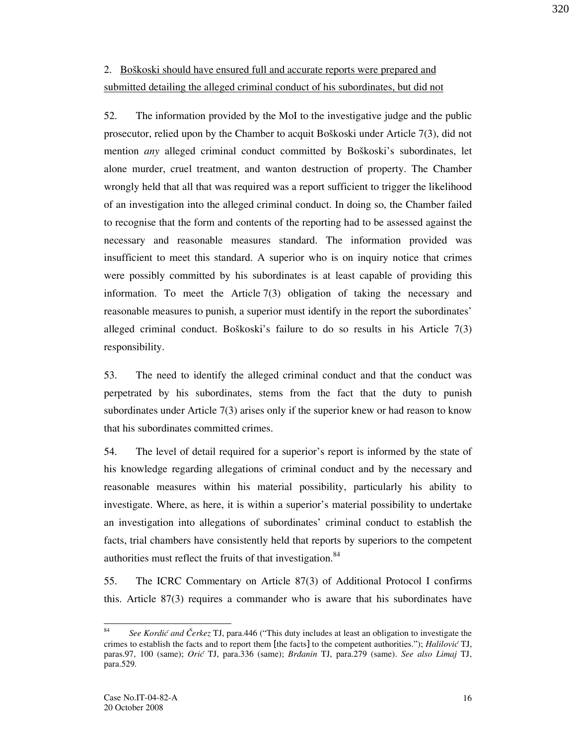# 2. Boškoski should have ensured full and accurate reports were prepared and submitted detailing the alleged criminal conduct of his subordinates, but did not

52. The information provided by the MoI to the investigative judge and the public prosecutor, relied upon by the Chamber to acquit Boškoski under Article  $7(3)$ , did not mention any alleged criminal conduct committed by Boškoski's subordinates, let alone murder, cruel treatment, and wanton destruction of property. The Chamber wrongly held that all that was required was a report sufficient to trigger the likelihood of an investigation into the alleged criminal conduct. In doing so, the Chamber failed to recognise that the form and contents of the reporting had to be assessed against the necessary and reasonable measures standard. The information provided was insufficient to meet this standard. A superior who is on inquiry notice that crimes were possibly committed by his subordinates is at least capable of providing this information. To meet the Article 7(3) obligation of taking the necessary and reasonable measures to punish, a superior must identify in the report the subordinates' alleged criminal conduct. Bo $\delta$ koski's failure to do so results in his Article 7(3) responsibility.

53. The need to identify the alleged criminal conduct and that the conduct was perpetrated by his subordinates, stems from the fact that the duty to punish subordinates under Article 7(3) arises only if the superior knew or had reason to know that his subordinates committed crimes.

54. The level of detail required for a superior's report is informed by the state of his knowledge regarding allegations of criminal conduct and by the necessary and reasonable measures within his material possibility, particularly his ability to investigate. Where, as here, it is within a superior's material possibility to undertake an investigation into allegations of subordinates' criminal conduct to establish the facts, trial chambers have consistently held that reports by superiors to the competent authorities must reflect the fruits of that investigation.<sup>84</sup>

55. The ICRC Commentary on Article 87(3) of Additional Protocol I confirms this. Article 87(3) requires a commander who is aware that his subordinates have 320

 $rac{1}{84}$ See Kordić and Čerkez TJ, para.446 ("This duty includes at least an obligation to investigate the crimes to establish the facts and to report them [the facts] to the competent authorities."); Halilović TJ, paras.97, 100 (same); Orić TJ, para.336 (same); Brdanin TJ, para.279 (same). See also Limaj TJ, para.529.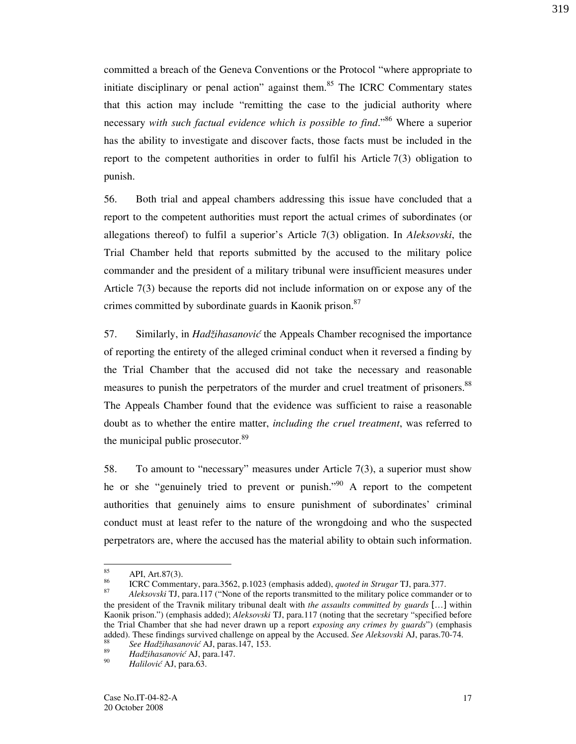committed a breach of the Geneva Conventions or the Protocol "where appropriate to initiate disciplinary or penal action" against them.<sup>85</sup> The ICRC Commentary states that this action may include "remitting the case to the judicial authority where necessary with such factual evidence which is possible to find.<sup>86</sup> Where a superior has the ability to investigate and discover facts, those facts must be included in the report to the competent authorities in order to fulfil his Article 7(3) obligation to punish.

56. Both trial and appeal chambers addressing this issue have concluded that a report to the competent authorities must report the actual crimes of subordinates (or allegations thereof) to fulfil a superior's Article 7(3) obligation. In Aleksovski, the Trial Chamber held that reports submitted by the accused to the military police commander and the president of a military tribunal were insufficient measures under Article 7(3) because the reports did not include information on or expose any of the crimes committed by subordinate guards in Kaonik prison.<sup>87</sup>

57. Similarly, in Hadžihasanović the Appeals Chamber recognised the importance of reporting the entirety of the alleged criminal conduct when it reversed a finding by the Trial Chamber that the accused did not take the necessary and reasonable measures to punish the perpetrators of the murder and cruel treatment of prisoners.<sup>88</sup> The Appeals Chamber found that the evidence was sufficient to raise a reasonable doubt as to whether the entire matter, *including the cruel treatment*, was referred to the municipal public prosecutor.<sup>89</sup>

58. To amount to "necessary" measures under Article 7(3), a superior must show he or she "genuinely tried to prevent or punish."<sup>90</sup> A report to the competent authorities that genuinely aims to ensure punishment of subordinates' criminal conduct must at least refer to the nature of the wrongdoing and who the suspected perpetrators are, where the accused has the material ability to obtain such information.

<sup>85</sup>  $\overset{85}{\phantom{0}}$  API, Art.87(3).

ICRC Commentary, para.3562, p.1023 (emphasis added), quoted in Strugar TJ, para.377. 87

Aleksovski TJ, para.117 ("None of the reports transmitted to the military police commander or to the president of the Travnik military tribunal dealt with the assaults committed by guards [...] within Kaonik prison.") (emphasis added); Aleksovski TJ, para.117 (noting that the secretary "specified before the Trial Chamber that she had never drawn up a report exposing any crimes by guards") (emphasis added). These findings survived challenge on appeal by the Accused. See Aleksovski AJ, paras.70-74. 88

See Hadžihasanović AJ, paras.147, 153. 89

Hadžihasanović AJ, para.147. 90

Halilović AJ, para.63.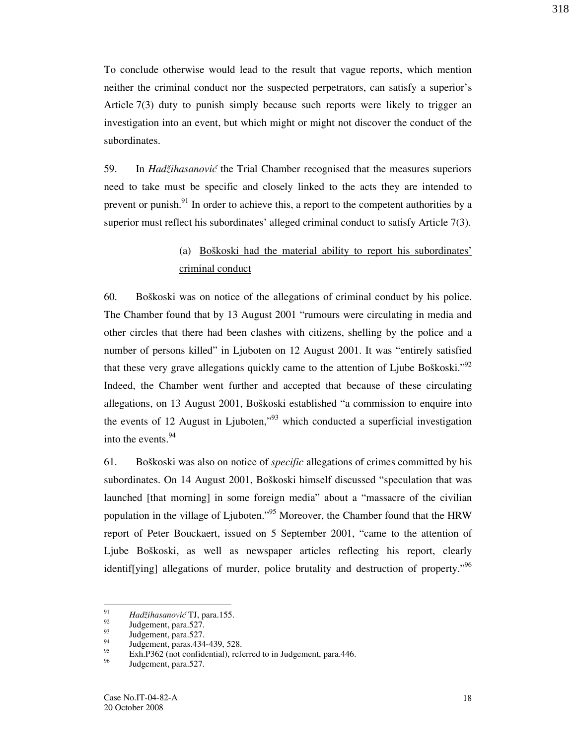To conclude otherwise would lead to the result that vague reports, which mention neither the criminal conduct nor the suspected perpetrators, can satisfy a superior's Article 7(3) duty to punish simply because such reports were likely to trigger an investigation into an event, but which might or might not discover the conduct of the subordinates.

59. In Hadžihasanović the Trial Chamber recognised that the measures superiors need to take must be specific and closely linked to the acts they are intended to prevent or punish. $91$  In order to achieve this, a report to the competent authorities by a superior must reflect his subordinates' alleged criminal conduct to satisfy Article 7(3).

# (a) Boškoski had the material ability to report his subordinates' criminal conduct

60. Bo{koski was on notice of the allegations of criminal conduct by his police. The Chamber found that by 13 August 2001 "rumours were circulating in media and other circles that there had been clashes with citizens, shelling by the police and a number of persons killed" in Ljuboten on 12 August 2001. It was "entirely satisfied that these very grave allegations quickly came to the attention of Ljube Boškoski." $^{92}$ Indeed, the Chamber went further and accepted that because of these circulating allegations, on 13 August 2001, Boškoski established "a commission to enquire into the events of 12 August in Ljuboten,"<sup>93</sup> which conducted a superficial investigation into the events.<sup>94</sup>

61. Bo{koski was also on notice of specific allegations of crimes committed by his subordinates. On 14 August 2001, Boškoski himself discussed "speculation that was launched [that morning] in some foreign media" about a "massacre of the civilian population in the village of Ljuboten."<sup>95</sup> Moreover, the Chamber found that the HRW report of Peter Bouckaert, issued on 5 September 2001, "came to the attention of Ljube Boškoski, as well as newspaper articles reflecting his report, clearly identif[ying] allegations of murder, police brutality and destruction of property."<sup>96</sup>

 $\frac{1}{91}$ Had`ihasanovi} TJ, para.155.

 $\frac{92}{93}$  Judgement, para.527.

 $\frac{93}{94}$  Judgement, para.527.

 $^{94}$  Judgement, paras.434-439, 528.

 $\frac{95}{26}$  Exh.P362 (not confidential), referred to in Judgement, para.446.

Judgement, para.527.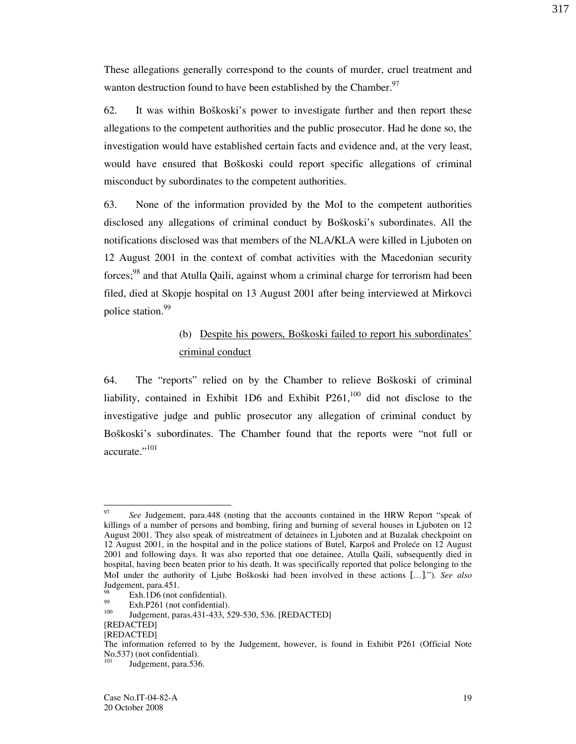These allegations generally correspond to the counts of murder, cruel treatment and wanton destruction found to have been established by the Chamber.<sup>97</sup>

62. It was within Bo{koski's power to investigate further and then report these allegations to the competent authorities and the public prosecutor. Had he done so, the investigation would have established certain facts and evidence and, at the very least, would have ensured that Boškoski could report specific allegations of criminal misconduct by subordinates to the competent authorities.

63. None of the information provided by the MoI to the competent authorities disclosed any allegations of criminal conduct by Boškoski's subordinates. All the notifications disclosed was that members of the NLA/KLA were killed in Ljuboten on 12 August 2001 in the context of combat activities with the Macedonian security forces;<sup>98</sup> and that Atulla Qaili, against whom a criminal charge for terrorism had been filed, died at Skopje hospital on 13 August 2001 after being interviewed at Mirkovci police station.<sup>99</sup>

### (b) Despite his powers, Boškoski failed to report his subordinates' criminal conduct

64. The "reports" relied on by the Chamber to relieve Boškoski of criminal liability, contained in Exhibit 1D6 and Exhibit  $P261$ ,<sup>100</sup> did not disclose to the investigative judge and public prosecutor any allegation of criminal conduct by Boškoski's subordinates. The Chamber found that the reports were "not full or accurate."101

 $\frac{1}{97}$  See Judgement, para.448 (noting that the accounts contained in the HRW Report "speak of killings of a number of persons and bombing, firing and burning of several houses in Ljuboten on 12 August 2001. They also speak of mistreatment of detainees in Ljuboten and at Buzalak checkpoint on 12 August 2001, in the hospital and in the police stations of Butel, Karpoš and Proleće on 12 August 2001 and following days. It was also reported that one detainee, Atulla Qaili, subsequently died in hospital, having been beaten prior to his death. It was specifically reported that police belonging to the MoI under the authority of Ljube Boškoski had been involved in these actions [...]."). See also Judgement, para.451.

 $\frac{98}{99}$  Exh.1D6 (not confidential).

 $^{99}$  Exh.P261 (not confidential).

Judgement, paras.431-433, 529-530, 536. [REDACTED]

<sup>[</sup>REDACTED]

<sup>[</sup>REDACTED]

The information referred to by the Judgement, however, is found in Exhibit P261 (Official Note No.537) (not confidential).

Judgement, para.536.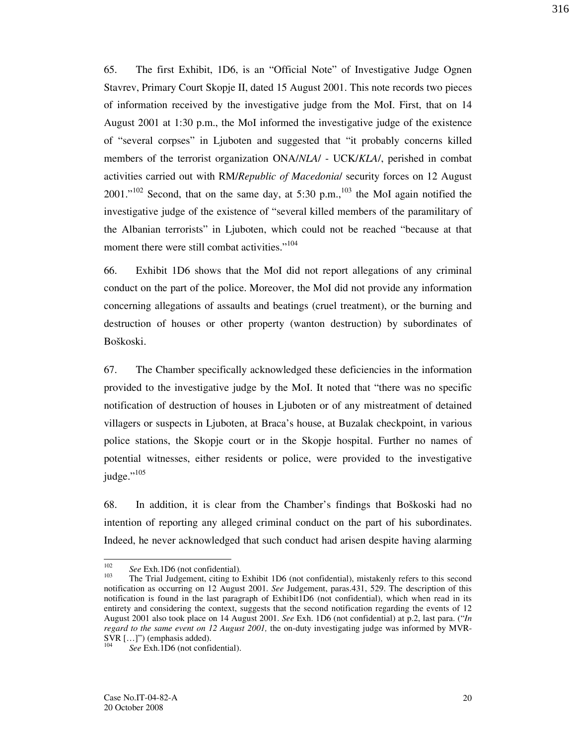65. The first Exhibit, 1D6, is an "Official Note" of Investigative Judge Ognen Stavrev, Primary Court Skopje II, dated 15 August 2001. This note records two pieces of information received by the investigative judge from the MoI. First, that on 14 August 2001 at 1:30 p.m., the MoI informed the investigative judge of the existence of "several corpses" in Ljuboten and suggested that "it probably concerns killed members of the terrorist organization ONA/NLA/ - UCK/KLA/, perished in combat activities carried out with RM/Republic of Macedonia/ security forces on 12 August  $2001.^{102}$  Second, that on the same day, at 5:30 p.m.,<sup>103</sup> the MoI again notified the investigative judge of the existence of "several killed members of the paramilitary of the Albanian terrorists" in Ljuboten, which could not be reached "because at that moment there were still combat activities."<sup>104</sup>

66. Exhibit 1D6 shows that the MoI did not report allegations of any criminal conduct on the part of the police. Moreover, the MoI did not provide any information concerning allegations of assaults and beatings (cruel treatment), or the burning and destruction of houses or other property (wanton destruction) by subordinates of Boškoski.

67. The Chamber specifically acknowledged these deficiencies in the information provided to the investigative judge by the MoI. It noted that "there was no specific notification of destruction of houses in Ljuboten or of any mistreatment of detained villagers or suspects in Ljuboten, at Braca's house, at Buzalak checkpoint, in various police stations, the Skopje court or in the Skopje hospital. Further no names of potential witnesses, either residents or police, were provided to the investigative judge."<sup>105</sup>

68. In addition, it is clear from the Chamber's findings that Boškoski had no intention of reporting any alleged criminal conduct on the part of his subordinates. Indeed, he never acknowledged that such conduct had arisen despite having alarming

<sup>102</sup>  $\frac{102}{103}$  See Exh.1D6 (not confidential).

The Trial Judgement, citing to Exhibit 1D6 (not confidential), mistakenly refers to this second notification as occurring on 12 August 2001. See Judgement, paras.431, 529. The description of this notification is found in the last paragraph of Exhibit1D6 (not confidential), which when read in its entirety and considering the context, suggests that the second notification regarding the events of 12 August 2001 also took place on 14 August 2001. See Exh. 1D6 (not confidential) at p.2, last para. ("In regard to the same event on 12 August 2001, the on-duty investigating judge was informed by MVR- $\text{SVR}$   $\left[ \dots \right]$ ") (emphasis added).

See Exh.1D6 (not confidential).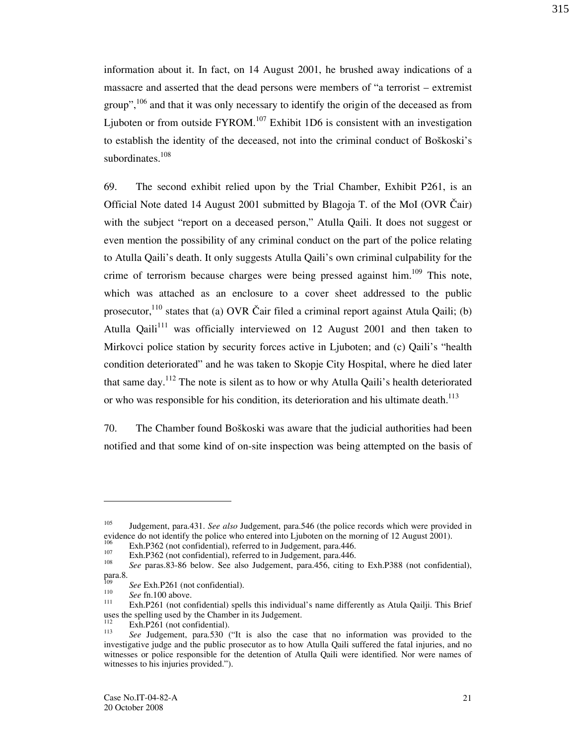information about it. In fact, on 14 August 2001, he brushed away indications of a massacre and asserted that the dead persons were members of "a terrorist – extremist group",  $106$  and that it was only necessary to identify the origin of the deceased as from Ljuboten or from outside  $FYROM.$ <sup>107</sup> Exhibit 1D6 is consistent with an investigation to establish the identity of the deceased, not into the criminal conduct of Boškoski's subordinates.<sup>108</sup>

69. The second exhibit relied upon by the Trial Chamber, Exhibit P261, is an Official Note dated 14 August 2001 submitted by Blagoja T. of the MoI (OVR Čair) with the subject "report on a deceased person," Atulla Qaili. It does not suggest or even mention the possibility of any criminal conduct on the part of the police relating to Atulla Qaili's death. It only suggests Atulla Qaili's own criminal culpability for the crime of terrorism because charges were being pressed against him.<sup>109</sup> This note, which was attached as an enclosure to a cover sheet addressed to the public prosecutor,  $^{110}$  states that (a) OVR Čair filed a criminal report against Atula Qaili; (b) Atulla Qaili<sup>111</sup> was officially interviewed on 12 August 2001 and then taken to Mirkovci police station by security forces active in Ljuboten; and (c) Qaili's "health condition deteriorated" and he was taken to Skopje City Hospital, where he died later that same day.<sup>112</sup> The note is silent as to how or why Atulla Qaili's health deteriorated or who was responsible for his condition, its deterioration and his ultimate death.<sup>113</sup>

70. The Chamber found Boškoski was aware that the judicial authorities had been notified and that some kind of on-site inspection was being attempted on the basis of

-

<sup>&</sup>lt;sup>105</sup> Judgement, para.431. See also Judgement, para.546 (the police records which were provided in evidence do not identify the police who entered into Ljuboten on the morning of 12 August 2001).

 $106$  Exh.P362 (not confidential), referred to in Judgement, para.446.

Exh.P362 (not confidential), referred to in Judgement, para.446. 108

See paras.83-86 below. See also Judgement, para.456, citing to Exh.P388 (not confidential), para.8. 109

See Exh.P261 (not confidential).

<sup>110</sup>  $\frac{110}{111}$  See fn.100 above.

Exh.P261 (not confidential) spells this individual's name differently as Atula Qailji. This Brief uses the spelling used by the Chamber in its Judgement.

Exh.P261 (not confidential). 113

See Judgement, para.530 ("It is also the case that no information was provided to the investigative judge and the public prosecutor as to how Atulla Qaili suffered the fatal injuries, and no witnesses or police responsible for the detention of Atulla Qaili were identified. Nor were names of witnesses to his injuries provided.").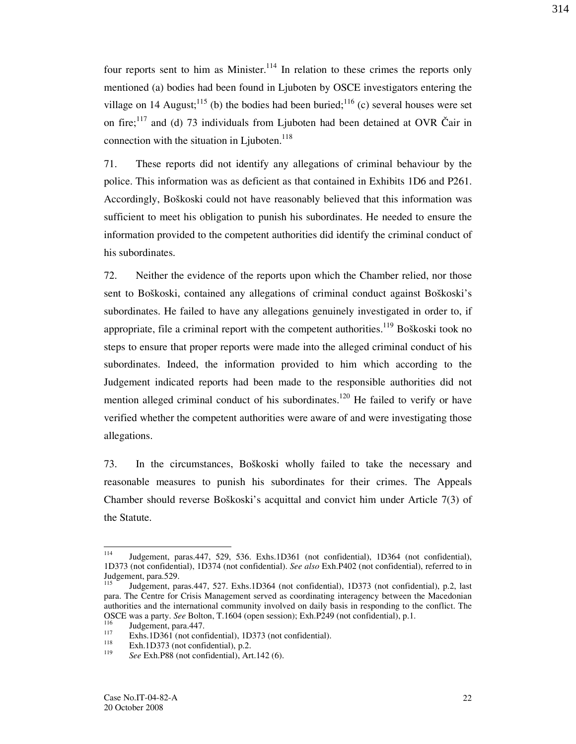four reports sent to him as Minister.<sup>114</sup> In relation to these crimes the reports only mentioned (a) bodies had been found in Ljuboten by OSCE investigators entering the village on 14 August;<sup>115</sup> (b) the bodies had been buried;<sup>116</sup> (c) several houses were set on fire; $117$  and (d) 73 individuals from Ljuboten had been detained at OVR Čair in connection with the situation in Ljuboten. $118$ 

71. These reports did not identify any allegations of criminal behaviour by the police. This information was as deficient as that contained in Exhibits 1D6 and P261. Accordingly, Boškoski could not have reasonably believed that this information was sufficient to meet his obligation to punish his subordinates. He needed to ensure the information provided to the competent authorities did identify the criminal conduct of his subordinates.

72. Neither the evidence of the reports upon which the Chamber relied, nor those sent to Boškoski, contained any allegations of criminal conduct against Boškoski's subordinates. He failed to have any allegations genuinely investigated in order to, if appropriate, file a criminal report with the competent authorities.<sup>119</sup> Boškoski took no steps to ensure that proper reports were made into the alleged criminal conduct of his subordinates. Indeed, the information provided to him which according to the Judgement indicated reports had been made to the responsible authorities did not mention alleged criminal conduct of his subordinates.<sup>120</sup> He failed to verify or have verified whether the competent authorities were aware of and were investigating those allegations.

73. In the circumstances, Boškoski wholly failed to take the necessary and reasonable measures to punish his subordinates for their crimes. The Appeals Chamber should reverse Boškoski's acquittal and convict him under Article 7(3) of the Statute.

<sup>114</sup> <sup>114</sup> Judgement, paras.447, 529, 536. Exhs.1D361 (not confidential), 1D364 (not confidential), 1D373 (not confidential), 1D374 (not confidential). See also Exh.P402 (not confidential), referred to in Judgement, para.529.

<sup>115</sup> Judgement, paras.447, 527. Exhs.1D364 (not confidential), 1D373 (not confidential), p.2, last para. The Centre for Crisis Management served as coordinating interagency between the Macedonian authorities and the international community involved on daily basis in responding to the conflict. The OSCE was a party. See Bolton, T.1604 (open session); Exh.P249 (not confidential), p.1.

 $\frac{116}{117}$  Judgement, para.447.

<sup>&</sup>lt;sup>117</sup> Exhs.1D361 (not confidential), 1D373 (not confidential).

Exh.1D373 (not confidential), p.2.

<sup>119</sup> See Exh.P88 (not confidential), Art.142 (6).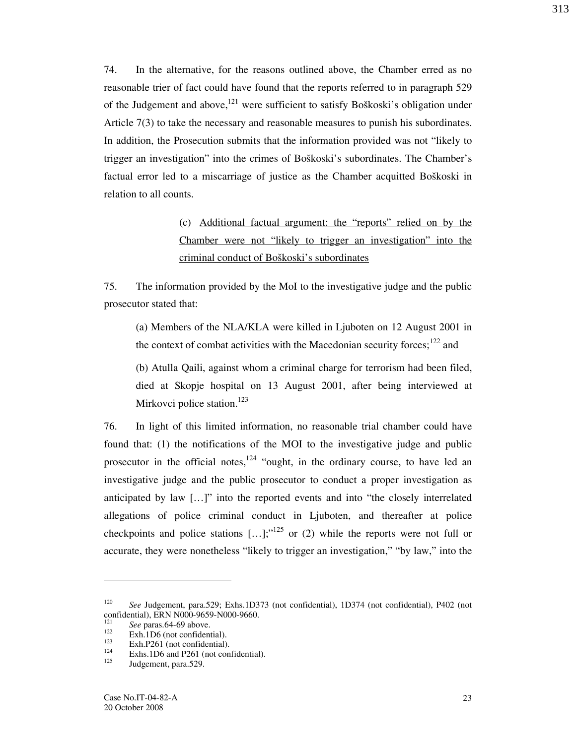74. In the alternative, for the reasons outlined above, the Chamber erred as no reasonable trier of fact could have found that the reports referred to in paragraph 529 of the Judgement and above,  $^{121}$  were sufficient to satisfy Boškoski's obligation under Article 7(3) to take the necessary and reasonable measures to punish his subordinates. In addition, the Prosecution submits that the information provided was not "likely to trigger an investigation" into the crimes of Boškoski's subordinates. The Chamber's factual error led to a miscarriage of justice as the Chamber acquitted Boškoski in relation to all counts.

> (c) Additional factual argument: the "reports" relied on by the Chamber were not "likely to trigger an investigation" into the criminal conduct of Boškoski's subordinates

75. The information provided by the MoI to the investigative judge and the public prosecutor stated that:

(a) Members of the NLA/KLA were killed in Ljuboten on 12 August 2001 in the context of combat activities with the Macedonian security forces; $^{122}$  and

(b) Atulla Qaili, against whom a criminal charge for terrorism had been filed, died at Skopje hospital on 13 August 2001, after being interviewed at Mirkovci police station.<sup>123</sup>

76. In light of this limited information, no reasonable trial chamber could have found that: (1) the notifications of the MOI to the investigative judge and public prosecutor in the official notes, $124$  "ought, in the ordinary course, to have led an investigative judge and the public prosecutor to conduct a proper investigation as anticipated by law  $[\ldots]$ " into the reported events and into "the closely interrelated allegations of police criminal conduct in Ljuboten, and thereafter at police checkpoints and police stations  $[...]$ ;"<sup>125</sup> or (2) while the reports were not full or accurate, they were nonetheless "likely to trigger an investigation," "by law," into the

-

<sup>120</sup> See Judgement, para.529; Exhs.1D373 (not confidential), 1D374 (not confidential), P402 (not confidential), ERN N000-9659-N000-9660.<br><sup>121</sup> See pares 64.60 above

 $\frac{121}{122}$  See paras.64-69 above.

 $122$  Exh. 1D6 (not confidential).

 $123$  Exh.P261 (not confidential).

 $124$  Exhs.1D6 and P261 (not confidential).

Judgement, para.529.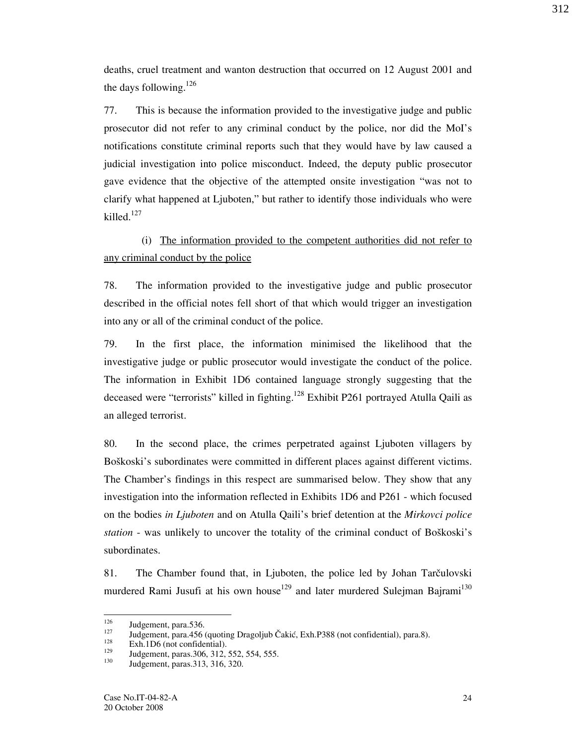deaths, cruel treatment and wanton destruction that occurred on 12 August 2001 and the days following.<sup>126</sup>

77. This is because the information provided to the investigative judge and public prosecutor did not refer to any criminal conduct by the police, nor did the MoI's notifications constitute criminal reports such that they would have by law caused a judicial investigation into police misconduct. Indeed, the deputy public prosecutor gave evidence that the objective of the attempted onsite investigation "was not to clarify what happened at Ljuboten," but rather to identify those individuals who were killed.<sup>127</sup>

(i) The information provided to the competent authorities did not refer to any criminal conduct by the police

78. The information provided to the investigative judge and public prosecutor described in the official notes fell short of that which would trigger an investigation into any or all of the criminal conduct of the police.

79. In the first place, the information minimised the likelihood that the investigative judge or public prosecutor would investigate the conduct of the police. The information in Exhibit 1D6 contained language strongly suggesting that the deceased were "terrorists" killed in fighting.<sup>128</sup> Exhibit P261 portrayed Atulla Qaili as an alleged terrorist.

80. In the second place, the crimes perpetrated against Ljuboten villagers by Boškoski's subordinates were committed in different places against different victims. The Chamber's findings in this respect are summarised below. They show that any investigation into the information reflected in Exhibits 1D6 and P261 - which focused on the bodies in Ljuboten and on Atulla Qaili's brief detention at the Mirkovci police station - was unlikely to uncover the totality of the criminal conduct of Boškoski's subordinates.

81. The Chamber found that, in Ljuboten, the police led by Johan Tarčulovski murdered Rami Jusufi at his own house<sup>129</sup> and later murdered Sulejman Bajrami<sup>130</sup>

<sup>126</sup>  $\frac{126}{127}$  Judgement, para.536.

<sup>&</sup>lt;sup>127</sup> Judgement, para.456 (quoting Dragoljub Čakić, Exh.P388 (not confidential), para.8).

 $128$  Exh.1D6 (not confidential).

 $\frac{129}{130}$  Judgement, paras. 306, 312, 552, 554, 555.

<sup>130</sup> Judgement, paras.313, 316, 320.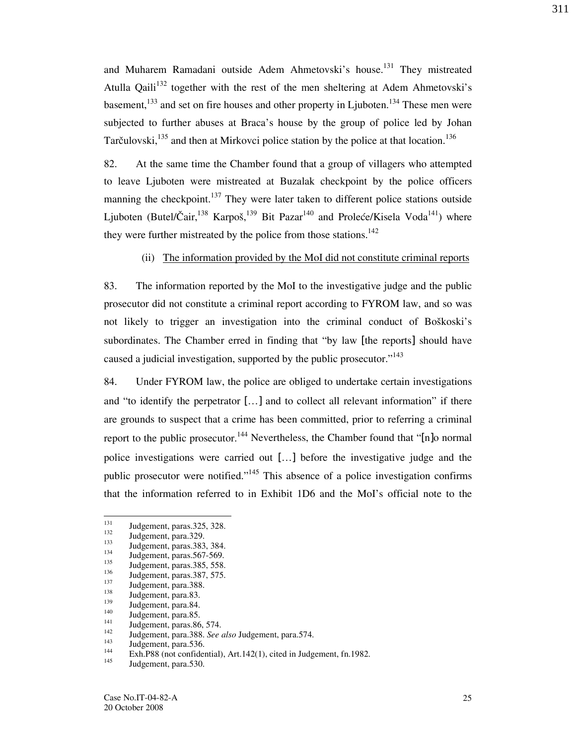and Muharem Ramadani outside Adem Ahmetovski's house.<sup>131</sup> They mistreated Atulla Qaili<sup>132</sup> together with the rest of the men sheltering at Adem Ahmetovski's basement,  $133$  and set on fire houses and other property in Ljuboten.<sup>134</sup> These men were subjected to further abuses at Braca's house by the group of police led by Johan Tarčulovski,  $^{135}$  and then at Mirkovci police station by the police at that location.<sup>136</sup>

82. At the same time the Chamber found that a group of villagers who attempted to leave Ljuboten were mistreated at Buzalak checkpoint by the police officers manning the checkpoint. $137$  They were later taken to different police stations outside Ljuboten (Butel/Čair,<sup>138</sup> Karpoš,<sup>139</sup> Bit Pazar<sup>140</sup> and Proleće/Kisela Voda<sup>141</sup>) where they were further mistreated by the police from those stations.<sup>142</sup>

(ii) The information provided by the MoI did not constitute criminal reports

83. The information reported by the MoI to the investigative judge and the public prosecutor did not constitute a criminal report according to FYROM law, and so was not likely to trigger an investigation into the criminal conduct of Boškoski's subordinates. The Chamber erred in finding that "by law [the reports] should have caused a judicial investigation, supported by the public prosecutor."<sup>143</sup>

84. Under FYROM law, the police are obliged to undertake certain investigations and "to identify the perpetrator […] and to collect all relevant information" if there are grounds to suspect that a crime has been committed, prior to referring a criminal report to the public prosecutor.<sup>144</sup> Nevertheless, the Chamber found that "[n]o normal police investigations were carried out […] before the investigative judge and the public prosecutor were notified."<sup>145</sup> This absence of a police investigation confirms that the information referred to in Exhibit 1D6 and the MoI's official note to the

<sup>131</sup>  $\frac{131}{132}$  Judgement, paras.325, 328.

 $\frac{132}{133}$  Judgement, para.329.

 $133$  Judgement, paras. 383, 384.

 $134$  Judgement, paras.567-569.

 $135$  Judgement, paras. 385, 558.

 $136$  Judgement, paras. 387, 575.

 $\frac{137}{138}$  Judgement, para.388.

 $\frac{138}{139}$  Judgement, para.83.

 $139$  Judgement, para.84.

 $\frac{140}{141}$  Judgement, para.85.

 $141$  Judgement, paras. 86, 574.

 $\frac{142}{143}$  Judgement, para.388. See also Judgement, para.574.

 $\frac{143}{144}$  Judgement, para.536.

 $144$  Exh.P88 (not confidential), Art.142(1), cited in Judgement, fn.1982.

Judgement, para.530.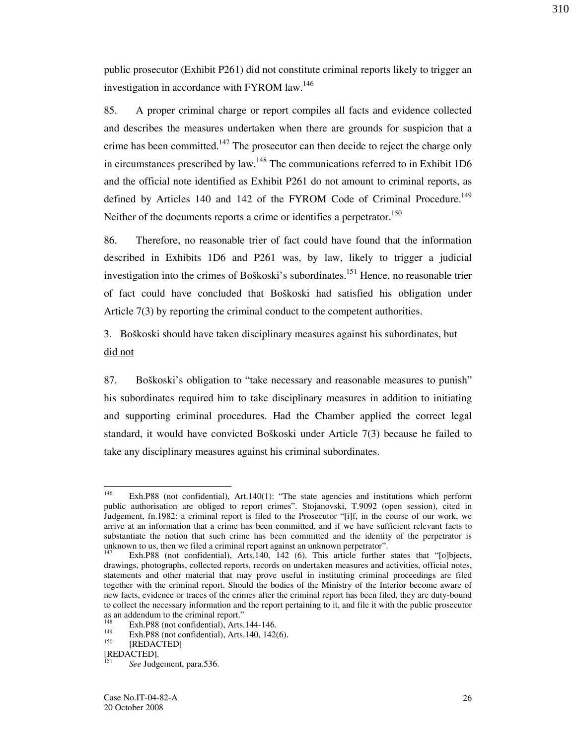public prosecutor (Exhibit P261) did not constitute criminal reports likely to trigger an investigation in accordance with FYROM law.<sup>146</sup>

85. A proper criminal charge or report compiles all facts and evidence collected and describes the measures undertaken when there are grounds for suspicion that a crime has been committed.<sup>147</sup> The prosecutor can then decide to reject the charge only in circumstances prescribed by law.<sup>148</sup> The communications referred to in Exhibit 1D6 and the official note identified as Exhibit P261 do not amount to criminal reports, as defined by Articles 140 and 142 of the FYROM Code of Criminal Procedure.<sup>149</sup> Neither of the documents reports a crime or identifies a perpetrator.<sup>150</sup>

86. Therefore, no reasonable trier of fact could have found that the information described in Exhibits 1D6 and P261 was, by law, likely to trigger a judicial investigation into the crimes of Boškoski's subordinates.<sup>151</sup> Hence, no reasonable trier of fact could have concluded that Boškoski had satisfied his obligation under Article 7(3) by reporting the criminal conduct to the competent authorities.

# 3. Bo{koski should have taken disciplinary measures against his subordinates, but did not

87. Boškoski's obligation to "take necessary and reasonable measures to punish" his subordinates required him to take disciplinary measures in addition to initiating and supporting criminal procedures. Had the Chamber applied the correct legal standard, it would have convicted Boškoski under Article 7(3) because he failed to take any disciplinary measures against his criminal subordinates.

<sup>146</sup> Exh.P88 (not confidential), Art.140(1): "The state agencies and institutions which perform public authorisation are obliged to report crimes". Stojanovski, T.9092 (open session), cited in Judgement, fn.1982: a criminal report is filed to the Prosecutor "[i]f, in the course of our work, we arrive at an information that a crime has been committed, and if we have sufficient relevant facts to substantiate the notion that such crime has been committed and the identity of the perpetrator is unknown to us, then we filed a criminal report against an unknown perpetrator".

Exh.P88 (not confidential), Arts.140, 142 (6). This article further states that "[o]bjects, drawings, photographs, collected reports, records on undertaken measures and activities, official notes, statements and other material that may prove useful in instituting criminal proceedings are filed together with the criminal report. Should the bodies of the Ministry of the Interior become aware of new facts, evidence or traces of the crimes after the criminal report has been filed, they are duty-bound to collect the necessary information and the report pertaining to it, and file it with the public prosecutor as an addendum to the criminal report."

<sup>&</sup>lt;sup>148</sup> Exh.P88 (not confidential), Arts.144-146.<br><sup>149</sup> Exh.D88 (not confidential), Arts.140, 140

<sup>&</sup>lt;sup>149</sup> Exh.P88 (not confidential), Arts.140, 142(6).<br> **IDEDACTED1** 

<sup>[</sup>REDACTED]

<sup>[</sup>REDACTED].

See Judgement, para.536.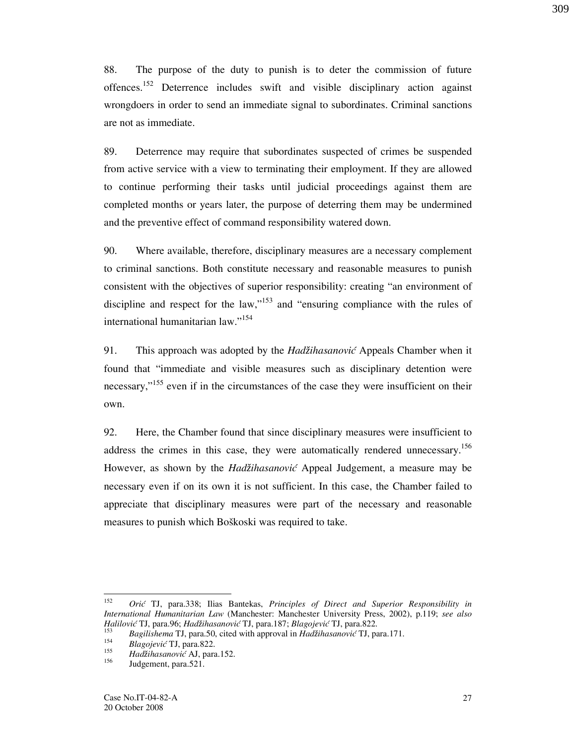88. The purpose of the duty to punish is to deter the commission of future offences.<sup>152</sup> Deterrence includes swift and visible disciplinary action against wrongdoers in order to send an immediate signal to subordinates. Criminal sanctions are not as immediate.

89. Deterrence may require that subordinates suspected of crimes be suspended from active service with a view to terminating their employment. If they are allowed to continue performing their tasks until judicial proceedings against them are completed months or years later, the purpose of deterring them may be undermined and the preventive effect of command responsibility watered down.

90. Where available, therefore, disciplinary measures are a necessary complement to criminal sanctions. Both constitute necessary and reasonable measures to punish consistent with the objectives of superior responsibility: creating "an environment of discipline and respect for the law,"<sup>153</sup> and "ensuring compliance with the rules of international humanitarian law."<sup>154</sup>

91. This approach was adopted by the Had*ž*ihasanović Appeals Chamber when it found that "immediate and visible measures such as disciplinary detention were necessary,"<sup>155</sup> even if in the circumstances of the case they were insufficient on their own.

92. Here, the Chamber found that since disciplinary measures were insufficient to address the crimes in this case, they were automatically rendered unnecessary.<sup>156</sup> However, as shown by the Had*ž*ihasanović Appeal Judgement, a measure may be necessary even if on its own it is not sufficient. In this case, the Chamber failed to appreciate that disciplinary measures were part of the necessary and reasonable measures to punish which Boškoski was required to take.

 $\frac{1}{152}$  Orić TJ, para.338; Ilias Bantekas, Principles of Direct and Superior Responsibility in International Humanitarian Law (Manchester: Manchester University Press, 2002), p.119; see also Halilović TJ, para.96; Hadžihasanović TJ, para.187; Blagojević TJ, para.822. 153

Bagilishema TJ, para.50, cited with approval in Had*ž*ihasanović TJ, para.171. 154

Blagojević TJ, para.822. 155

<sup>&</sup>lt;sup>155</sup> Hadžihasanović AJ, para.152.

Judgement, para.521.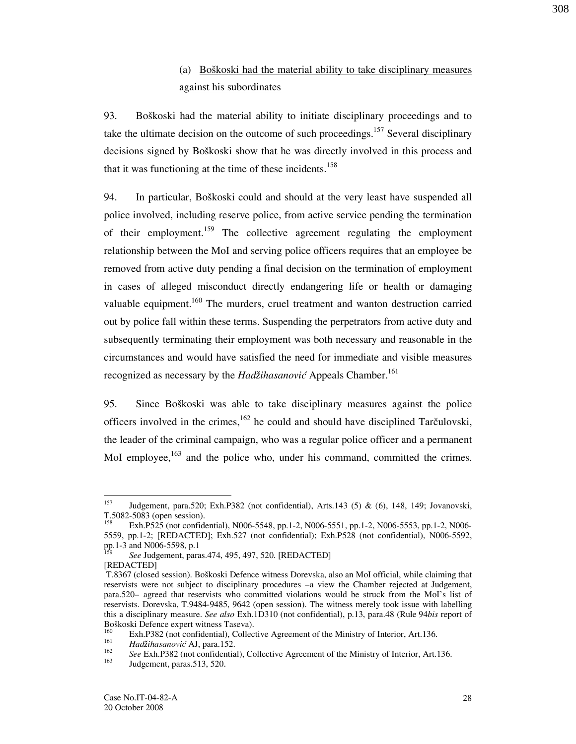# (a) Boškoski had the material ability to take disciplinary measures against his subordinates

93. Boškoski had the material ability to initiate disciplinary proceedings and to take the ultimate decision on the outcome of such proceedings.<sup>157</sup> Several disciplinary decisions signed by Boškoski show that he was directly involved in this process and that it was functioning at the time of these incidents.<sup>158</sup>

94. In particular, Boškoski could and should at the very least have suspended all police involved, including reserve police, from active service pending the termination of their employment.<sup>159</sup> The collective agreement regulating the employment relationship between the MoI and serving police officers requires that an employee be removed from active duty pending a final decision on the termination of employment in cases of alleged misconduct directly endangering life or health or damaging valuable equipment.<sup>160</sup> The murders, cruel treatment and wanton destruction carried out by police fall within these terms. Suspending the perpetrators from active duty and subsequently terminating their employment was both necessary and reasonable in the circumstances and would have satisfied the need for immediate and visible measures recognized as necessary by the Hadžihasanović Appeals Chamber.<sup>161</sup>

95. Since Boškoski was able to take disciplinary measures against the police officers involved in the crimes,  $162$  he could and should have disciplined Tarčulovski, the leader of the criminal campaign, who was a regular police officer and a permanent MoI employee,<sup>163</sup> and the police who, under his command, committed the crimes.

<sup>157</sup> <sup>157</sup> Judgement, para.520; Exh.P382 (not confidential), Arts.143 (5) & (6), 148, 149; Jovanovski, T.5082-5083 (open session).

<sup>158</sup> Exh.P525 (not confidential), N006-5548, pp.1-2, N006-5551, pp.1-2, N006-5553, pp.1-2, N006- 5559, pp.1-2; [REDACTED]; Exh.527 (not confidential); Exh.P528 (not confidential), N006-5592, pp.1-3 and N006-5598, p.1<br><sup>159</sup> See Judgement, pare

See Judgement, paras.474, 495, 497, 520. [REDACTED] **IREDACTEDI** 

T.8367 (closed session). Boškoski Defence witness Dorevska, also an MoI official, while claiming that reservists were not subject to disciplinary procedures –a view the Chamber rejected at Judgement, para.520– agreed that reservists who committed violations would be struck from the MoI's list of reservists. Dorevska, T.9484-9485, 9642 (open session). The witness merely took issue with labelling this a disciplinary measure. See also Exh.1D310 (not confidential), p.13, para.48 (Rule 94bis report of Boškoski Defence expert witness Taseva).<br><sup>160</sup> Erik B282 (set son<sup>f</sup>icial) Caller

Exh.P382 (not confidential), Collective Agreement of the Ministry of Interior, Art.136.

<sup>161</sup> Had*ž*ihasanović AJ, para.152.

<sup>162</sup>  $See$  Exh.P382 (not confidential), Collective Agreement of the Ministry of Interior, Art.136.

Judgement, paras.513, 520.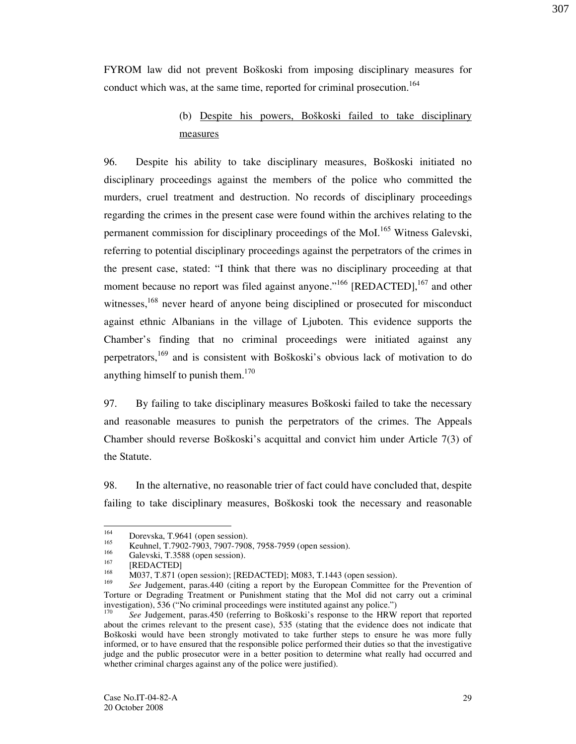FYROM law did not prevent Boškoski from imposing disciplinary measures for conduct which was, at the same time, reported for criminal prosecution.<sup>164</sup>

# (b) Despite his powers, Boškoski failed to take disciplinary measures

96. Despite his ability to take disciplinary measures, Boškoski initiated no disciplinary proceedings against the members of the police who committed the murders, cruel treatment and destruction. No records of disciplinary proceedings regarding the crimes in the present case were found within the archives relating to the permanent commission for disciplinary proceedings of the MoI.<sup>165</sup> Witness Galevski, referring to potential disciplinary proceedings against the perpetrators of the crimes in the present case, stated: "I think that there was no disciplinary proceeding at that moment because no report was filed against anyone."<sup>166</sup>  $[REDACTED]$ , <sup>167</sup> and other witnesses,<sup>168</sup> never heard of anyone being disciplined or prosecuted for misconduct against ethnic Albanians in the village of Ljuboten. This evidence supports the Chamber's finding that no criminal proceedings were initiated against any perpetrators,<sup>169</sup> and is consistent with Boškoski's obvious lack of motivation to do anything himself to punish them.<sup>170</sup>

97. By failing to take disciplinary measures Boškoski failed to take the necessary and reasonable measures to punish the perpetrators of the crimes. The Appeals Chamber should reverse Boškoski's acquittal and convict him under Article 7(3) of the Statute.

98. In the alternative, no reasonable trier of fact could have concluded that, despite failing to take disciplinary measures, Boškoski took the necessary and reasonable

<sup>164</sup> <sup>164</sup> Dorevska, T.9641 (open session).<br><sup>165</sup> Keskual, T.7002, 7002, 7007, 7009

<sup>&</sup>lt;sup>165</sup> Keuhnel, T.7902-7903, 7907-7908, 7958-7959 (open session).

<sup>&</sup>lt;sup>166</sup> Galevski, T.3588 (open session).

 $^{167}$  [REDACTED]

M037, T.871 (open session); [REDACTED]; M083, T.1443 (open session). 169

See Judgement, paras.440 (citing a report by the European Committee for the Prevention of Torture or Degrading Treatment or Punishment stating that the MoI did not carry out a criminal investigation), 536 ("No criminal proceedings were instituted against any police.")<br><sup>170</sup> See Indremant, paree 450 (referring to Bo<sup>x</sup>keeki's recognes to the UDW

See Judgement, paras.450 (referring to Boškoski's response to the HRW report that reported about the crimes relevant to the present case), 535 (stating that the evidence does not indicate that Boškoski would have been strongly motivated to take further steps to ensure he was more fully informed, or to have ensured that the responsible police performed their duties so that the investigative judge and the public prosecutor were in a better position to determine what really had occurred and whether criminal charges against any of the police were justified).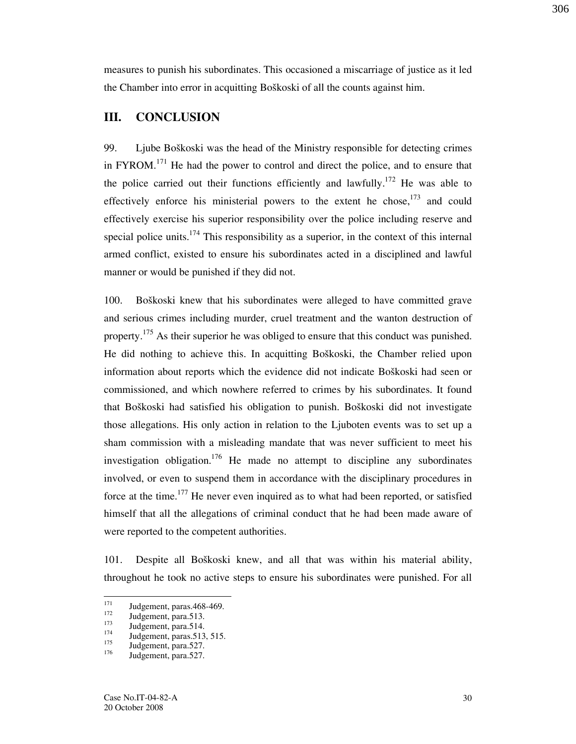measures to punish his subordinates. This occasioned a miscarriage of justice as it led the Chamber into error in acquitting Boškoski of all the counts against him.

### III. CONCLUSION

99. Ljube Boškoski was the head of the Ministry responsible for detecting crimes in  $FYROM$ .<sup>171</sup> He had the power to control and direct the police, and to ensure that the police carried out their functions efficiently and lawfully.<sup>172</sup> He was able to effectively enforce his ministerial powers to the extent he chose,  $173$  and could effectively exercise his superior responsibility over the police including reserve and special police units.<sup>174</sup> This responsibility as a superior, in the context of this internal armed conflict, existed to ensure his subordinates acted in a disciplined and lawful manner or would be punished if they did not.

100. Boškoski knew that his subordinates were alleged to have committed grave and serious crimes including murder, cruel treatment and the wanton destruction of property.<sup>175</sup> As their superior he was obliged to ensure that this conduct was punished. He did nothing to achieve this. In acquitting Boškoski, the Chamber relied upon information about reports which the evidence did not indicate Boškoski had seen or commissioned, and which nowhere referred to crimes by his subordinates. It found that Boškoski had satisfied his obligation to punish. Boškoski did not investigate those allegations. His only action in relation to the Ljuboten events was to set up a sham commission with a misleading mandate that was never sufficient to meet his investigation obligation.<sup>176</sup> He made no attempt to discipline any subordinates involved, or even to suspend them in accordance with the disciplinary procedures in force at the time.<sup>177</sup> He never even inquired as to what had been reported, or satisfied himself that all the allegations of criminal conduct that he had been made aware of were reported to the competent authorities.

101. Despite all Bo{koski knew, and all that was within his material ability, throughout he took no active steps to ensure his subordinates were punished. For all

<sup>171</sup>  $\frac{171}{172}$  Judgement, paras.468-469.

 $\frac{172}{173}$  Judgement, para.513.

 $\frac{173}{174}$  Judgement, para.514.

 $174$  Judgement, paras. 513, 515.

 $\frac{175}{176}$  Judgement, para.527.

Judgement, para.527.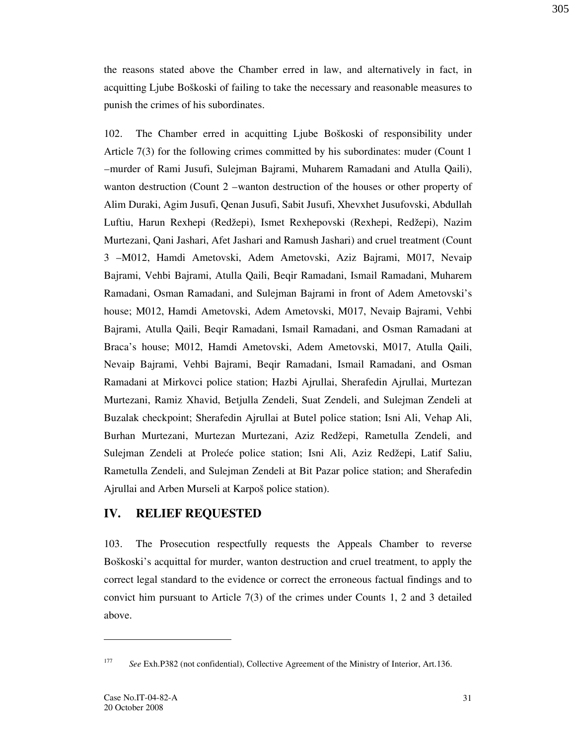the reasons stated above the Chamber erred in law, and alternatively in fact, in acquitting Ljube Boškoski of failing to take the necessary and reasonable measures to punish the crimes of his subordinates.

102. The Chamber erred in acquitting Ljube Boškoski of responsibility under Article 7(3) for the following crimes committed by his subordinates: muder (Count 1 –murder of Rami Jusufi, Sulejman Bajrami, Muharem Ramadani and Atulla Qaili), wanton destruction (Count 2 –wanton destruction of the houses or other property of Alim Duraki, Agim Jusufi, Qenan Jusufi, Sabit Jusufi, Xhevxhet Jusufovski, Abdullah Luftiu, Harun Rexhepi (Redžepi), Ismet Rexhepovski (Rexhepi, Redžepi), Nazim Murtezani, Qani Jashari, Afet Jashari and Ramush Jashari) and cruel treatment (Count 3 –M012, Hamdi Ametovski, Adem Ametovski, Aziz Bajrami, M017, Nevaip Bajrami, Vehbi Bajrami, Atulla Qaili, Beqir Ramadani, Ismail Ramadani, Muharem Ramadani, Osman Ramadani, and Sulejman Bajrami in front of Adem Ametovski's house; M012, Hamdi Ametovski, Adem Ametovski, M017, Nevaip Bajrami, Vehbi Bajrami, Atulla Qaili, Beqir Ramadani, Ismail Ramadani, and Osman Ramadani at Braca's house; M012, Hamdi Ametovski, Adem Ametovski, M017, Atulla Qaili, Nevaip Bajrami, Vehbi Bajrami, Beqir Ramadani, Ismail Ramadani, and Osman Ramadani at Mirkovci police station; Hazbi Ajrullai, Sherafedin Ajrullai, Murtezan Murtezani, Ramiz Xhavid, Betjulla Zendeli, Suat Zendeli, and Sulejman Zendeli at Buzalak checkpoint; Sherafedin Ajrullai at Butel police station; Isni Ali, Vehap Ali, Burhan Murtezani, Murtezan Murtezani, Aziz Redžepi, Rametulla Zendeli, and Sulejman Zendeli at Proleće police station; Isni Ali, Aziz Redžepi, Latif Saliu, Rametulla Zendeli, and Sulejman Zendeli at Bit Pazar police station; and Sherafedin Ajrullai and Arben Murseli at Karpoš police station).

#### IV. RELIEF REQUESTED

103. The Prosecution respectfully requests the Appeals Chamber to reverse Boškoski's acquittal for murder, wanton destruction and cruel treatment, to apply the correct legal standard to the evidence or correct the erroneous factual findings and to convict him pursuant to Article 7(3) of the crimes under Counts 1, 2 and 3 detailed above.

-

31

<sup>177</sup> See Exh.P382 (not confidential), Collective Agreement of the Ministry of Interior, Art.136.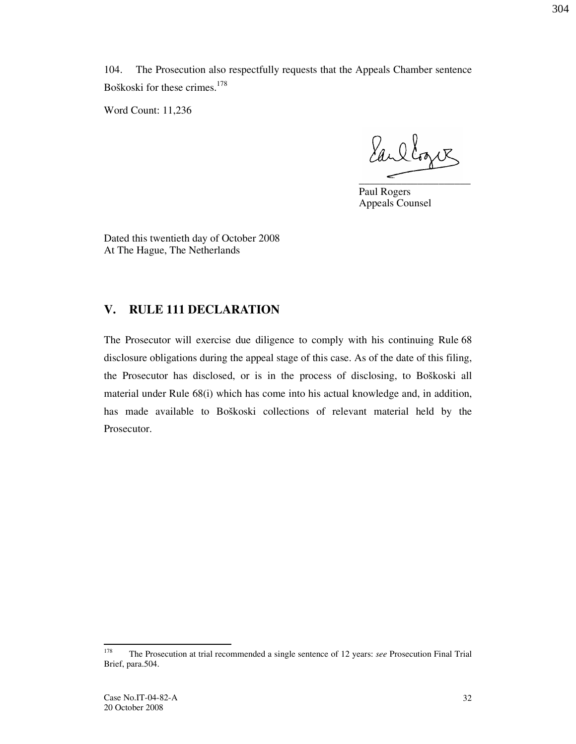104. The Prosecution also respectfully requests that the Appeals Chamber sentence Boškoski for these crimes.<sup>178</sup>

Word Count: 11,236

Earllogue  $\overline{\phantom{a}}$  ,  $\overline{\phantom{a}}$  ,  $\overline{\phantom{a}}$  ,  $\overline{\phantom{a}}$  ,  $\overline{\phantom{a}}$  ,  $\overline{\phantom{a}}$  ,  $\overline{\phantom{a}}$  ,  $\overline{\phantom{a}}$  ,  $\overline{\phantom{a}}$  ,  $\overline{\phantom{a}}$  ,  $\overline{\phantom{a}}$  ,  $\overline{\phantom{a}}$  ,  $\overline{\phantom{a}}$  ,  $\overline{\phantom{a}}$  ,  $\overline{\phantom{a}}$  ,  $\overline{\phantom{a}}$ 

Paul Rogers Appeals Counsel

Dated this twentieth day of October 2008 At The Hague, The Netherlands

### V. RULE 111 DECLARATION

The Prosecutor will exercise due diligence to comply with his continuing Rule 68 disclosure obligations during the appeal stage of this case. As of the date of this filing, the Prosecutor has disclosed, or is in the process of disclosing, to Boškoski all material under Rule 68(i) which has come into his actual knowledge and, in addition, has made available to Boškoski collections of relevant material held by the Prosecutor.

<sup>178</sup> The Prosecution at trial recommended a single sentence of 12 years: see Prosecution Final Trial Brief, para.504.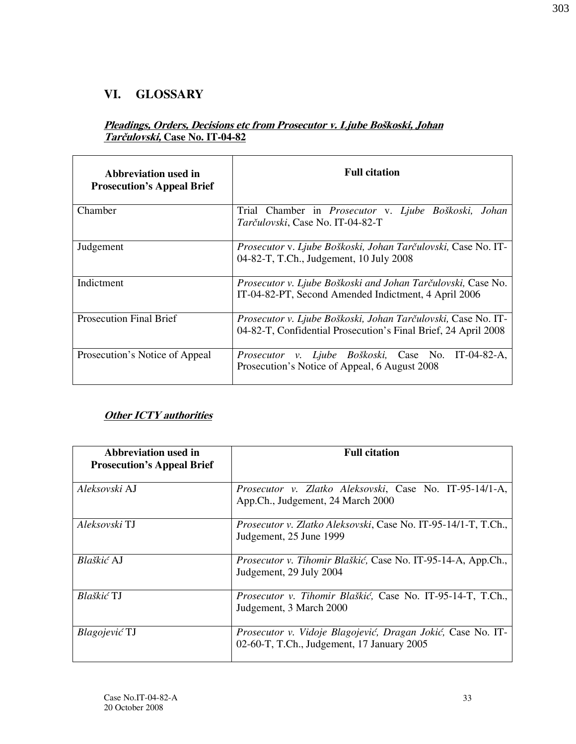### VI. GLOSSARY

### Pleadings, Orders, Decisions etc from Prosecutor v. Ljube Boškoski, Johan Tarčulovski, Case No. IT-04-82

| Abbreviation used in<br><b>Prosecution's Appeal Brief</b> | <b>Full citation</b>                                                                                                                   |
|-----------------------------------------------------------|----------------------------------------------------------------------------------------------------------------------------------------|
| Chamber                                                   | Trial Chamber in <i>Prosecutor</i> v. Ljube Boškoski, Johan<br>Tarčulovski, Case No. IT-04-82-T                                        |
| Judgement                                                 | Prosecutor v. Ljube Boškoski, Johan Tarčulovski, Case No. IT-<br>04-82-T, T.Ch., Judgement, 10 July 2008                               |
| Indictment                                                | <i>Prosecutor v. Ljube Boškoski and Johan Tarčulovski, Case No.</i><br>IT-04-82-PT, Second Amended Indictment, 4 April 2006            |
| <b>Prosecution Final Brief</b>                            | <i>Prosecutor v. Ljube Boškoski, Johan Tarčulovski, Case No. IT-</i><br>04-82-T, Confidential Prosecution's Final Brief, 24 April 2008 |
| Prosecution's Notice of Appeal                            | Prosecutor v. Ljube Boškoski, Case No.<br>IT-04-82-A,<br>Prosecution's Notice of Appeal, 6 August 2008                                 |

### **Other ICTY** authorities

| Abbreviation used in<br><b>Prosecution's Appeal Brief</b> | <b>Full citation</b>                                                                                      |
|-----------------------------------------------------------|-----------------------------------------------------------------------------------------------------------|
| Aleksovski AJ                                             | Prosecutor v. Zlatko Aleksovski, Case No. IT-95-14/1-A,<br>App.Ch., Judgement, 24 March 2000              |
| Aleksovski TJ                                             | <i>Prosecutor v. Zlatko Aleksovski, Case No. IT-95-14/1-T, T.Ch.,</i><br>Judgement, 25 June 1999          |
| Blaškić AJ                                                | Prosecutor v. Tihomir Blaškić, Case No. IT-95-14-A, App.Ch.,<br>Judgement, 29 July 2004                   |
| <i>Blaškić</i> TJ                                         | Prosecutor v. Tihomir Blaškić, Case No. IT-95-14-T, T.Ch.,<br>Judgement, 3 March 2000                     |
| <i>Blagojević</i> TJ                                      | Prosecutor v. Vidoje Blagojević, Dragan Jokić, Case No. IT-<br>02-60-T, T.Ch., Judgement, 17 January 2005 |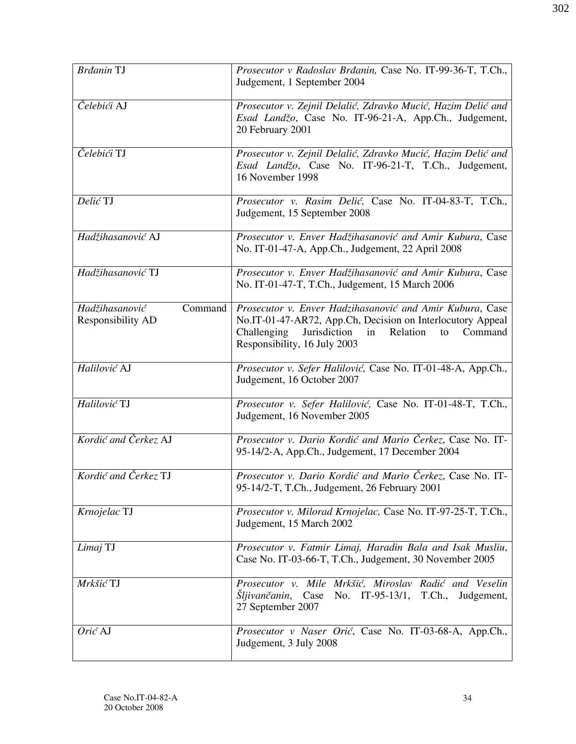| <b>Brdanin TJ</b>                              | Prosecutor v Radoslav Brđanin, Case No. IT-99-36-T, T.Ch.,<br>Judgement, 1 September 2004                                                                                                                                |
|------------------------------------------------|--------------------------------------------------------------------------------------------------------------------------------------------------------------------------------------------------------------------------|
| Čelebići AJ                                    | Prosecutor v. Zejnil Delalić, Zdravko Mucić, Hazim Delić and<br>Esad Landžo, Case No. IT-96-21-A, App.Ch., Judgement,<br>20 February 2001                                                                                |
| Čelebići TJ                                    | Prosecutor v. Zejnil Delalić, Zdravko Mucić, Hazim Delić and<br>Esad Landžo, Case No. IT-96-21-T, T.Ch., Judgement,<br>16 November 1998                                                                                  |
| Delić TJ                                       | Prosecutor v. Rasim Delić, Case No. IT-04-83-T, T.Ch.,<br>Judgement, 15 September 2008                                                                                                                                   |
| Hadžihasanović AJ                              | Prosecutor v. Enver Hadžihasanović and Amir Kubura, Case<br>No. IT-01-47-A, App.Ch., Judgement, 22 April 2008                                                                                                            |
| Hadžihasanović TJ                              | Prosecutor v. Enver Hadžihasanović and Amir Kubura, Case<br>No. IT-01-47-T, T.Ch., Judgement, 15 March 2006                                                                                                              |
| Hadžihasanović<br>Command<br>Responsibility AD | Prosecutor v. Enver Hadzihasanović and Amir Kubura, Case<br>No.IT-01-47-AR72, App.Ch, Decision on Interlocutory Appeal<br>Challenging<br>Jurisdiction<br>in<br>Relation<br>Command<br>to<br>Responsibility, 16 July 2003 |
| Halilović AJ                                   | Prosecutor v. Sefer Halilović, Case No. IT-01-48-A, App.Ch.,<br>Judgement, 16 October 2007                                                                                                                               |
| Halilović TJ                                   | Prosecutor v. Sefer Halilović, Case No. IT-01-48-T, T.Ch.,<br>Judgement, 16 November 2005                                                                                                                                |
| Kordić and Čerkez AJ                           | Prosecutor v. Dario Kordić and Mario Čerkez, Case No. IT-<br>95-14/2-A, App.Ch., Judgement, 17 December 2004                                                                                                             |
| Kordić and Čerkez TJ                           | Prosecutor v. Dario Kordić and Mario Čerkez, Case No. IT-<br>95-14/2-T, T.Ch., Judgement, 26 February 2001                                                                                                               |
| Krnojelac TJ                                   | Prosecutor v. Milorad Krnojelac, Case No. IT-97-25-T, T.Ch.,<br>Judgement, 15 March 2002                                                                                                                                 |
| Limaj TJ                                       | Prosecutor v. Fatmir Limaj, Haradin Bala and Isak Musliu,<br>Case No. IT-03-66-T, T.Ch., Judgement, 30 November 2005                                                                                                     |
| Mrkšić TJ                                      | Prosecutor v. Mile Mrkšić, Miroslav Radić and Veselin<br><i>Sljivančanin</i> , Case No. IT-95-13/1, T.Ch.,<br>Judgement,<br>27 September 2007                                                                            |
| Orić AJ                                        | Prosecutor v Naser Orić, Case No. IT-03-68-A, App.Ch.,<br>Judgement, 3 July 2008                                                                                                                                         |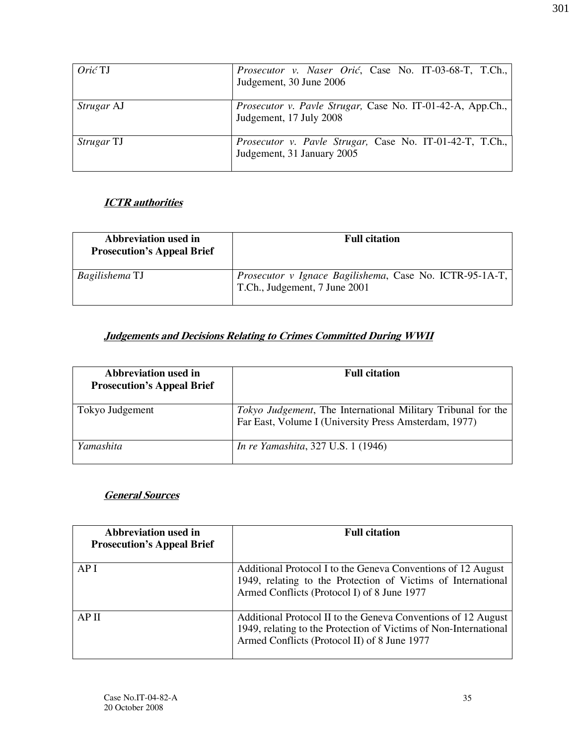| Orić TJ           | Prosecutor v. Naser Orić, Case No. IT-03-68-T, T.Ch.,<br>Judgement, 30 June 2006             |
|-------------------|----------------------------------------------------------------------------------------------|
| Strugar AJ        | <i>Prosecutor v. Pavle Strugar, Case No. IT-01-42-A, App.Ch.,</i><br>Judgement, 17 July 2008 |
| <i>Strugar</i> TJ | Prosecutor v. Pavle Strugar, Case No. IT-01-42-T, T.Ch.,<br>Judgement, 31 January 2005       |

### **ICTR** authorities

| Abbreviation used in<br><b>Prosecution's Appeal Brief</b> | <b>Full citation</b>                                                                            |
|-----------------------------------------------------------|-------------------------------------------------------------------------------------------------|
| Bagilishema TJ                                            | <i>Prosecutor v Ignace Bagilishema, Case No. ICTR-95-1A-T,</i><br>T.Ch., Judgement, 7 June 2001 |

### Judgements and Decisions Relating to Crimes Committed During WWII

| Abbreviation used in<br><b>Prosecution's Appeal Brief</b> | <b>Full citation</b>                                                                                                          |
|-----------------------------------------------------------|-------------------------------------------------------------------------------------------------------------------------------|
| Tokyo Judgement                                           | <i>Tokyo Judgement</i> , The International Military Tribunal for the<br>Far East, Volume I (University Press Amsterdam, 1977) |
| Yamashita                                                 | <i>In re Yamashita, 327 U.S. 1 (1946)</i>                                                                                     |

### General Sources

| Abbreviation used in<br><b>Prosecution's Appeal Brief</b> | <b>Full citation</b>                                                                                                                                                              |
|-----------------------------------------------------------|-----------------------------------------------------------------------------------------------------------------------------------------------------------------------------------|
| API                                                       | Additional Protocol I to the Geneva Conventions of 12 August<br>1949, relating to the Protection of Victims of International<br>Armed Conflicts (Protocol I) of 8 June 1977       |
| AP II                                                     | Additional Protocol II to the Geneva Conventions of 12 August<br>1949, relating to the Protection of Victims of Non-International<br>Armed Conflicts (Protocol II) of 8 June 1977 |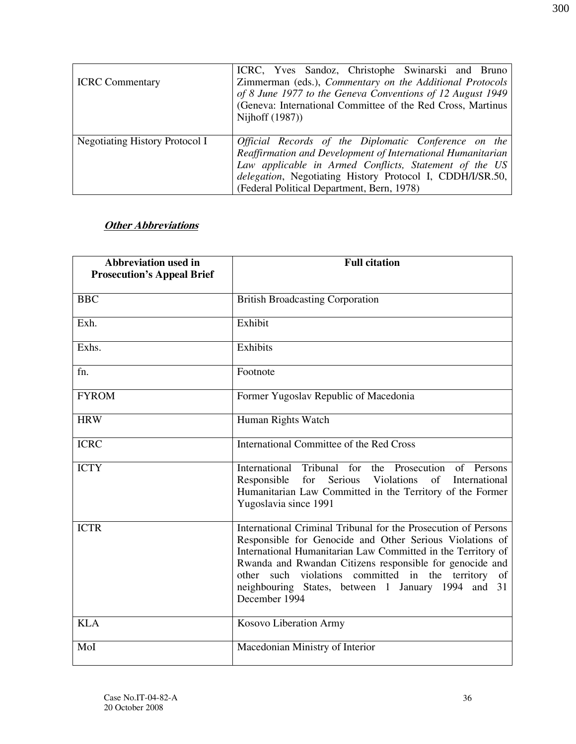| <b>ICRC</b> Commentary         | ICRC, Yves Sandoz, Christophe Swinarski and Bruno<br>Zimmerman (eds.), Commentary on the Additional Protocols<br>of 8 June 1977 to the Geneva Conventions of 12 August 1949<br>(Geneva: International Committee of the Red Cross, Martinus<br>Nijhoff (1987))                            |
|--------------------------------|------------------------------------------------------------------------------------------------------------------------------------------------------------------------------------------------------------------------------------------------------------------------------------------|
| Negotiating History Protocol I | Official Records of the Diplomatic Conference on the<br>Reaffirmation and Development of International Humanitarian<br>Law applicable in Armed Conflicts, Statement of the US<br>delegation, Negotiating History Protocol I, CDDH/I/SR.50,<br>(Federal Political Department, Bern, 1978) |

# **Other Abbreviations**

| <b>Abbreviation used in</b><br><b>Prosecution's Appeal Brief</b> | <b>Full citation</b>                                                                                                                                                                                                                                                                                                                                                                 |
|------------------------------------------------------------------|--------------------------------------------------------------------------------------------------------------------------------------------------------------------------------------------------------------------------------------------------------------------------------------------------------------------------------------------------------------------------------------|
| <b>BBC</b>                                                       | <b>British Broadcasting Corporation</b>                                                                                                                                                                                                                                                                                                                                              |
| Exh.                                                             | Exhibit                                                                                                                                                                                                                                                                                                                                                                              |
| Exhs.                                                            | Exhibits                                                                                                                                                                                                                                                                                                                                                                             |
| fn.                                                              | Footnote                                                                                                                                                                                                                                                                                                                                                                             |
| <b>FYROM</b>                                                     | Former Yugoslav Republic of Macedonia                                                                                                                                                                                                                                                                                                                                                |
| <b>HRW</b>                                                       | Human Rights Watch                                                                                                                                                                                                                                                                                                                                                                   |
| <b>ICRC</b>                                                      | International Committee of the Red Cross                                                                                                                                                                                                                                                                                                                                             |
| <b>ICTY</b>                                                      | International Tribunal for the Prosecution of Persons<br>Responsible<br>for<br>Serious<br>Violations<br>of<br>International<br>Humanitarian Law Committed in the Territory of the Former<br>Yugoslavia since 1991                                                                                                                                                                    |
| <b>ICTR</b>                                                      | International Criminal Tribunal for the Prosecution of Persons<br>Responsible for Genocide and Other Serious Violations of<br>International Humanitarian Law Committed in the Territory of<br>Rwanda and Rwandan Citizens responsible for genocide and<br>other such violations committed in the territory of<br>neighbouring States, between 1 January 1994 and 31<br>December 1994 |
| <b>KLA</b>                                                       | Kosovo Liberation Army                                                                                                                                                                                                                                                                                                                                                               |
| MoI                                                              | Macedonian Ministry of Interior                                                                                                                                                                                                                                                                                                                                                      |